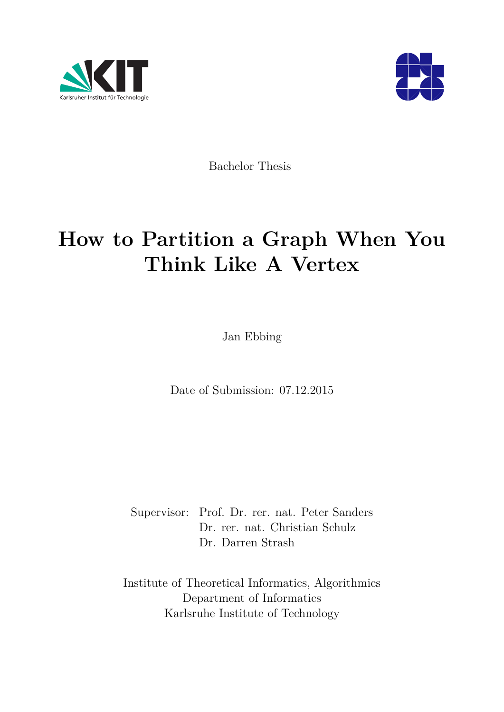



Bachelor Thesis

# **How to Partition a Graph When You Think Like A Vertex**

Jan Ebbing

Date of Submission: 07.12.2015

Supervisor: Prof. Dr. rer. nat. Peter Sanders Dr. rer. nat. Christian Schulz Dr. Darren Strash

Institute of Theoretical Informatics, Algorithmics Department of Informatics Karlsruhe Institute of Technology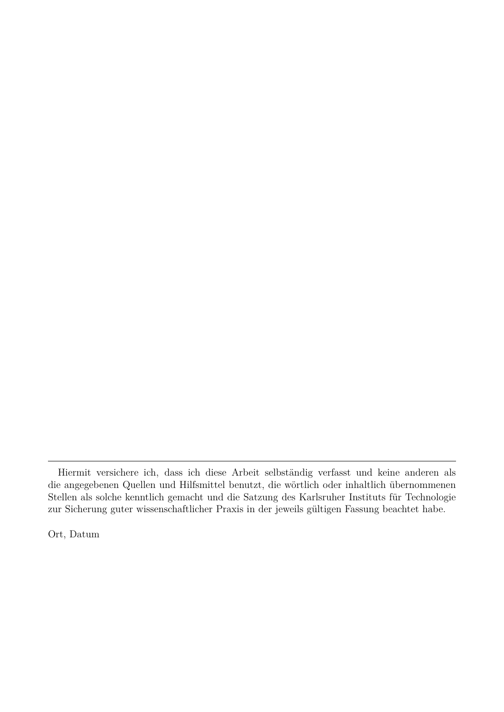Ort, Datum

Hiermit versichere ich, dass ich diese Arbeit selbständig verfasst und keine anderen als die angegebenen Quellen und Hilfsmittel benutzt, die wörtlich oder inhaltlich übernommenen Stellen als solche kenntlich gemacht und die Satzung des Karlsruher Instituts für Technologie zur Sicherung guter wissenschaftlicher Praxis in der jeweils gültigen Fassung beachtet habe.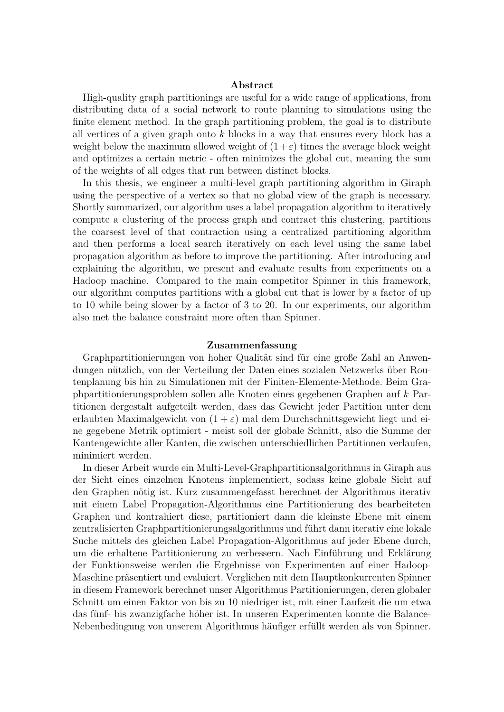#### **Abstract**

High-quality graph partitionings are useful for a wide range of applications, from distributing data of a social network to route planning to simulations using the finite element method. In the graph partitioning problem, the goal is to distribute all vertices of a given graph onto *k* blocks in a way that ensures every block has a weight below the maximum allowed weight of  $(1+\varepsilon)$  times the average block weight and optimizes a certain metric - often minimizes the global cut, meaning the sum of the weights of all edges that run between distinct blocks.

In this thesis, we engineer a multi-level graph partitioning algorithm in Giraph using the perspective of a vertex so that no global view of the graph is necessary. Shortly summarized, our algorithm uses a label propagation algorithm to iteratively compute a clustering of the process graph and contract this clustering, partitions the coarsest level of that contraction using a centralized partitioning algorithm and then performs a local search iteratively on each level using the same label propagation algorithm as before to improve the partitioning. After introducing and explaining the algorithm, we present and evaluate results from experiments on a Hadoop machine. Compared to the main competitor Spinner in this framework, our algorithm computes partitions with a global cut that is lower by a factor of up to 10 while being slower by a factor of 3 to 20. In our experiments, our algorithm also met the balance constraint more often than Spinner.

#### **Zusammenfassung**

Graphpartitionierungen von hoher Qualität sind für eine große Zahl an Anwendungen nützlich, von der Verteilung der Daten eines sozialen Netzwerks über Routenplanung bis hin zu Simulationen mit der Finiten-Elemente-Methode. Beim Graphpartitionierungsproblem sollen alle Knoten eines gegebenen Graphen auf *k* Partitionen dergestalt aufgeteilt werden, dass das Gewicht jeder Partition unter dem erlaubten Maximalgewicht von  $(1 + \varepsilon)$  mal dem Durchschnittsgewicht liegt und eine gegebene Metrik optimiert - meist soll der globale Schnitt, also die Summe der Kantengewichte aller Kanten, die zwischen unterschiedlichen Partitionen verlaufen, minimiert werden.

In dieser Arbeit wurde ein Multi-Level-Graphpartitionsalgorithmus in Giraph aus der Sicht eines einzelnen Knotens implementiert, sodass keine globale Sicht auf den Graphen nötig ist. Kurz zusammengefasst berechnet der Algorithmus iterativ mit einem Label Propagation-Algorithmus eine Partitionierung des bearbeiteten Graphen und kontrahiert diese, partitioniert dann die kleinste Ebene mit einem zentralisierten Graphpartitionierungsalgorithmus und führt dann iterativ eine lokale Suche mittels des gleichen Label Propagation-Algorithmus auf jeder Ebene durch, um die erhaltene Partitionierung zu verbessern. Nach Einführung und Erklärung der Funktionsweise werden die Ergebnisse von Experimenten auf einer Hadoop-Maschine präsentiert und evaluiert. Verglichen mit dem Hauptkonkurrenten Spinner in diesem Framework berechnet unser Algorithmus Partitionierungen, deren globaler Schnitt um einen Faktor von bis zu 10 niedriger ist, mit einer Laufzeit die um etwa das fünf- bis zwanzigfache höher ist. In unseren Experimenten konnte die Balance-Nebenbedingung von unserem Algorithmus häufiger erfüllt werden als von Spinner.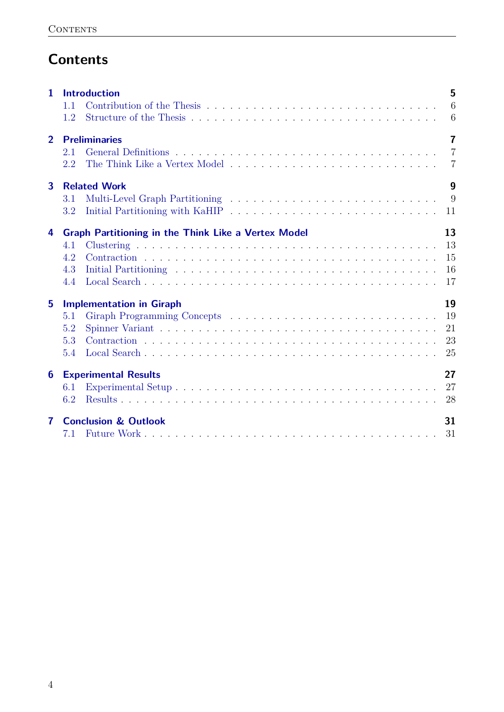## **Contents**

| 1              | <b>Introduction</b><br>1.1<br>1.2                                                      | 5<br>6<br>6                                        |
|----------------|----------------------------------------------------------------------------------------|----------------------------------------------------|
| $\overline{2}$ | <b>Preliminaries</b><br>2.1<br>2.2                                                     | $\overline{7}$<br>$\overline{7}$<br>$\overline{7}$ |
| $\mathbf{3}$   | <b>Related Work</b><br>3.1<br>3.2                                                      | 9<br>9<br>11                                       |
| 4              | <b>Graph Partitioning in the Think Like a Vertex Model</b><br>4.1<br>4.2<br>4.3<br>4.4 | 13<br>13<br>15<br>16<br>17                         |
| 5              | <b>Implementation in Giraph</b><br>5.1<br>5.2<br>5.3<br>5.4                            | 19<br>19<br>21<br>23<br>25                         |
| 6              | <b>Experimental Results</b><br>6.1<br>6.2                                              | 27<br>27<br>28                                     |
| 7              | <b>Conclusion &amp; Outlook</b><br>7.1                                                 | 31<br>31                                           |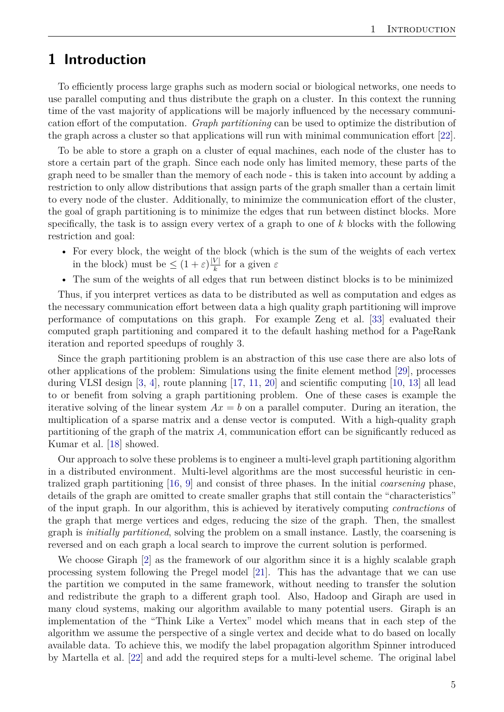## <span id="page-4-0"></span>**1 Introduction**

To efficiently process large graphs such as modern social or biological networks, one needs to use parallel computing and thus distribute the graph on a cluster. In this context the running time of the vast majority of applications will be majorly influenced by the necessary communication effort of the computation. *Graph partitioning* can be used to optimize the distribution of the graph across a cluster so that applications will run with minimal communication effort [\[22\]](#page-32-0).

To be able to store a graph on a cluster of equal machines, each node of the cluster has to store a certain part of the graph. Since each node only has limited memory, these parts of the graph need to be smaller than the memory of each node - this is taken into account by adding a restriction to only allow distributions that assign parts of the graph smaller than a certain limit to every node of the cluster. Additionally, to minimize the communication effort of the cluster, the goal of graph partitioning is to minimize the edges that run between distinct blocks. More specifically, the task is to assign every vertex of a graph to one of *k* blocks with the following restriction and goal:

- For every block, the weight of the block (which is the sum of the weights of each vertex in the block) must be  $\leq (1+\varepsilon)\frac{|V|}{k}$ *k* for a given *ε*
- The sum of the weights of all edges that run between distinct blocks is to be minimized

Thus, if you interpret vertices as data to be distributed as well as computation and edges as the necessary communication effort between data a high quality graph partitioning will improve performance of computations on this graph. For example Zeng et al. [\[33\]](#page-32-1) evaluated their computed graph partitioning and compared it to the default hashing method for a PageRank iteration and reported speedups of roughly 3.

Since the graph partitioning problem is an abstraction of this use case there are also lots of other applications of the problem: Simulations using the finite element method [\[29\]](#page-32-2), processes during VLSI design [\[3,](#page-31-0) [4\]](#page-31-1), route planning [\[17,](#page-31-2) [11,](#page-31-3) [20\]](#page-32-3) and scientific computing [\[10,](#page-31-4) [13\]](#page-31-5) all lead to or benefit from solving a graph partitioning problem. One of these cases is example the iterative solving of the linear system  $Ax = b$  on a parallel computer. During an iteration, the multiplication of a sparse matrix and a dense vector is computed. With a high-quality graph partitioning of the graph of the matrix *A*, communication effort can be significantly reduced as Kumar et al. [\[18\]](#page-32-4) showed.

Our approach to solve these problems is to engineer a multi-level graph partitioning algorithm in a distributed environment. Multi-level algorithms are the most successful heuristic in centralized graph partitioning [\[16,](#page-31-6) [9\]](#page-31-7) and consist of three phases. In the initial *coarsening* phase, details of the graph are omitted to create smaller graphs that still contain the "characteristics" of the input graph. In our algorithm, this is achieved by iteratively computing *contractions* of the graph that merge vertices and edges, reducing the size of the graph. Then, the smallest graph is *initially partitioned*, solving the problem on a small instance. Lastly, the coarsening is reversed and on each graph a local search to improve the current solution is performed.

We choose Giraph [\[2\]](#page-31-8) as the framework of our algorithm since it is a highly scalable graph processing system following the Pregel model [\[21\]](#page-32-5). This has the advantage that we can use the partition we computed in the same framework, without needing to transfer the solution and redistribute the graph to a different graph tool. Also, Hadoop and Giraph are used in many cloud systems, making our algorithm available to many potential users. Giraph is an implementation of the "Think Like a Vertex" model which means that in each step of the algorithm we assume the perspective of a single vertex and decide what to do based on locally available data. To achieve this, we modify the label propagation algorithm Spinner introduced by Martella et al. [\[22\]](#page-32-0) and add the required steps for a multi-level scheme. The original label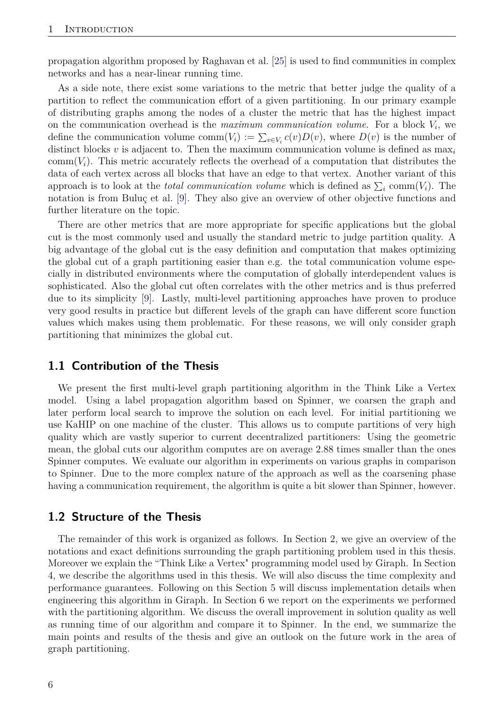propagation algorithm proposed by Raghavan et al. [\[25\]](#page-32-6) is used to find communities in complex networks and has a near-linear running time.

As a side note, there exist some variations to the metric that better judge the quality of a partition to reflect the communication effort of a given partitioning. In our primary example of distributing graphs among the nodes of a cluster the metric that has the highest impact on the communication overhead is the *maximum communication volume*. For a block *V<sup>i</sup>* , we define the communication volume comm $(V_i) := \sum_{v \in V_i} c(v)D(v)$ , where  $D(v)$  is the number of distinct blocks *v* is adjacent to. Then the maximum communication volume is defined as max*<sup>i</sup>* comm $(V_i)$ . This metric accurately reflects the overhead of a computation that distributes the data of each vertex across all blocks that have an edge to that vertex. Another variant of this approach is to look at the *total communication volume* which is defined as  $\sum_i$  comm $(V_i)$ . The notation is from Buluç et al. [\[9\]](#page-31-7). They also give an overview of other objective functions and further literature on the topic.

There are other metrics that are more appropriate for specific applications but the global cut is the most commonly used and usually the standard metric to judge partition quality. A big advantage of the global cut is the easy definition and computation that makes optimizing the global cut of a graph partitioning easier than e.g. the total communication volume especially in distributed environments where the computation of globally interdependent values is sophisticated. Also the global cut often correlates with the other metrics and is thus preferred due to its simplicity [\[9\]](#page-31-7). Lastly, multi-level partitioning approaches have proven to produce very good results in practice but different levels of the graph can have different score function values which makes using them problematic. For these reasons, we will only consider graph partitioning that minimizes the global cut.

#### <span id="page-5-0"></span>**1.1 Contribution of the Thesis**

We present the first multi-level graph partitioning algorithm in the Think Like a Vertex model. Using a label propagation algorithm based on Spinner, we coarsen the graph and later perform local search to improve the solution on each level. For initial partitioning we use KaHIP on one machine of the cluster. This allows us to compute partitions of very high quality which are vastly superior to current decentralized partitioners: Using the geometric mean, the global cuts our algorithm computes are on average 2*.*88 times smaller than the ones Spinner computes. We evaluate our algorithm in experiments on various graphs in comparison to Spinner. Due to the more complex nature of the approach as well as the coarsening phase having a communication requirement, the algorithm is quite a bit slower than Spinner, however.

#### <span id="page-5-1"></span>**1.2 Structure of the Thesis**

The remainder of this work is organized as follows. In Section 2, we give an overview of the notations and exact definitions surrounding the graph partitioning problem used in this thesis. Moreover we explain the "Think Like a Vertex" programming model used by Giraph. In Section 4, we describe the algorithms used in this thesis. We will also discuss the time complexity and performance guarantees. Following on this Section 5 will discuss implementation details when engineering this algorithm in Giraph. In Section 6 we report on the experiments we performed with the partitioning algorithm. We discuss the overall improvement in solution quality as well as running time of our algorithm and compare it to Spinner. In the end, we summarize the main points and results of the thesis and give an outlook on the future work in the area of graph partitioning.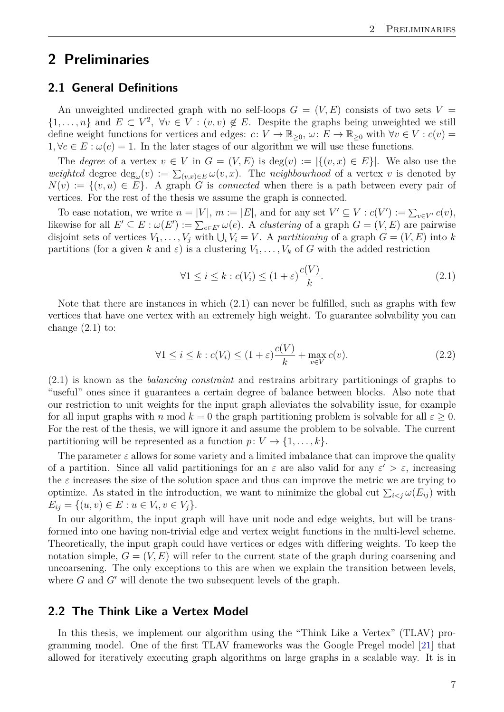## <span id="page-6-0"></span>**2 Preliminaries**

#### <span id="page-6-1"></span>**2.1 General Definitions**

An unweighted undirected graph with no self-loops  $G = (V, E)$  consists of two sets  $V =$  $\{1,\ldots,n\}$  and  $E \subset V^2$ ,  $\forall v \in V : (v,v) \notin E$ . Despite the graphs being unweighted we still define weight functions for vertices and edges:  $c: V \to \mathbb{R}_{\geq 0}$ ,  $\omega: E \to \mathbb{R}_{\geq 0}$  with  $\forall v \in V : c(v) =$  $1, \forall e \in E : \omega(e) = 1$ . In the later stages of our algorithm we will use these functions.

The *degree* of a vertex  $v \in V$  in  $G = (V, E)$  is  $deg(v) := |\{(v, x) \in E\}|$ . We also use the *weighted* degree  $\deg_{\omega}(v) := \sum_{(v,x)\in E} \omega(v,x)$ . The *neighbourhood* of a vertex *v* is denoted by  $N(v) := \{(v, u) \in E\}$ . A graph *G* is *connected* when there is a path between every pair of vertices. For the rest of the thesis we assume the graph is connected.

To ease notation, we write  $n = |V|$ ,  $m := |E|$ , and for any set  $V' \subseteq V : c(V') := \sum_{v \in V'} c(v)$ , likewise for all  $E' \subseteq E : \omega(E') := \sum_{e \in E'} \omega(e)$ . A *clustering* of a graph  $G = (V, E)$  are pairwise disjoint sets of vertices  $V_1, \ldots, V_j$  with  $\bigcup_i V_i = V$ . A *partitioning* of a graph  $G = (V, E)$  into *k* partitions (for a given *k* and  $\varepsilon$ ) is a clustering  $V_1, \ldots, V_k$  of *G* with the added restriction

$$
\forall 1 \le i \le k : c(V_i) \le (1 + \varepsilon) \frac{c(V)}{k}.
$$
\n(2.1)

Note that there are instances in which (2.1) can never be fulfilled, such as graphs with few vertices that have one vertex with an extremely high weight. To guarantee solvability you can change  $(2.1)$  to:

$$
\forall 1 \le i \le k : c(V_i) \le (1 + \varepsilon) \frac{c(V)}{k} + \max_{v \in V} c(v). \tag{2.2}
$$

(2.1) is known as the *balancing constraint* and restrains arbitrary partitionings of graphs to "useful" ones since it guarantees a certain degree of balance between blocks. Also note that our restriction to unit weights for the input graph alleviates the solvability issue, for example for all input graphs with *n* mod  $k = 0$  the graph partitioning problem is solvable for all  $\varepsilon \geq 0$ . For the rest of the thesis, we will ignore it and assume the problem to be solvable. The current partitioning will be represented as a function  $p: V \to \{1, \ldots, k\}$ .

The parameter  $\varepsilon$  allows for some variety and a limited imbalance that can improve the quality of a partition. Since all valid partitionings for an  $\varepsilon$  are also valid for any  $\varepsilon' > \varepsilon$ , increasing the  $\varepsilon$  increases the size of the solution space and thus can improve the metric we are trying to optimize. As stated in the introduction, we want to minimize the global cut  $\sum_{i < j} \omega(E_{ij})$  with  $E_{ij} = \{(u, v) \in E : u \in V_i, v \in V_j\}.$ 

In our algorithm, the input graph will have unit node and edge weights, but will be transformed into one having non-trivial edge and vertex weight functions in the multi-level scheme. Theoretically, the input graph could have vertices or edges with differing weights. To keep the notation simple,  $G = (V, E)$  will refer to the current state of the graph during coarsening and uncoarsening. The only exceptions to this are when we explain the transition between levels, where  $G$  and  $G'$  will denote the two subsequent levels of the graph.

#### <span id="page-6-2"></span>**2.2 The Think Like a Vertex Model**

In this thesis, we implement our algorithm using the "Think Like a Vertex" (TLAV) programming model. One of the first TLAV frameworks was the Google Pregel model [\[21\]](#page-32-5) that allowed for iteratively executing graph algorithms on large graphs in a scalable way. It is in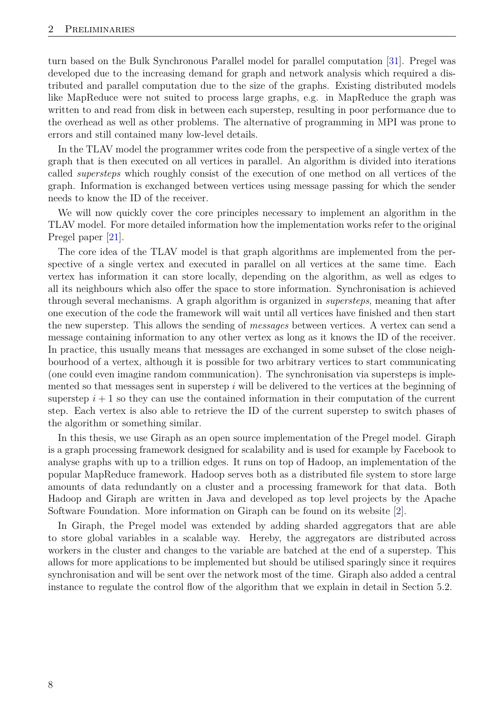turn based on the Bulk Synchronous Parallel model for parallel computation [\[31\]](#page-32-7). Pregel was developed due to the increasing demand for graph and network analysis which required a distributed and parallel computation due to the size of the graphs. Existing distributed models like MapReduce were not suited to process large graphs, e.g. in MapReduce the graph was written to and read from disk in between each superstep, resulting in poor performance due to the overhead as well as other problems. The alternative of programming in MPI was prone to errors and still contained many low-level details.

In the TLAV model the programmer writes code from the perspective of a single vertex of the graph that is then executed on all vertices in parallel. An algorithm is divided into iterations called *supersteps* which roughly consist of the execution of one method on all vertices of the graph. Information is exchanged between vertices using message passing for which the sender needs to know the ID of the receiver.

We will now quickly cover the core principles necessary to implement an algorithm in the TLAV model. For more detailed information how the implementation works refer to the original Pregel paper [\[21\]](#page-32-5).

The core idea of the TLAV model is that graph algorithms are implemented from the perspective of a single vertex and executed in parallel on all vertices at the same time. Each vertex has information it can store locally, depending on the algorithm, as well as edges to all its neighbours which also offer the space to store information. Synchronisation is achieved through several mechanisms. A graph algorithm is organized in *supersteps*, meaning that after one execution of the code the framework will wait until all vertices have finished and then start the new superstep. This allows the sending of *messages* between vertices. A vertex can send a message containing information to any other vertex as long as it knows the ID of the receiver. In practice, this usually means that messages are exchanged in some subset of the close neighbourhood of a vertex, although it is possible for two arbitrary vertices to start communicating (one could even imagine random communication). The synchronisation via supersteps is implemented so that messages sent in superstep *i* will be delivered to the vertices at the beginning of superstep  $i + 1$  so they can use the contained information in their computation of the current step. Each vertex is also able to retrieve the ID of the current superstep to switch phases of the algorithm or something similar.

In this thesis, we use Giraph as an open source implementation of the Pregel model. Giraph is a graph processing framework designed for scalability and is used for example by Facebook to analyse graphs with up to a trillion edges. It runs on top of Hadoop, an implementation of the popular MapReduce framework. Hadoop serves both as a distributed file system to store large amounts of data redundantly on a cluster and a processing framework for that data. Both Hadoop and Giraph are written in Java and developed as top level projects by the Apache Software Foundation. More information on Giraph can be found on its website [\[2\]](#page-31-8).

In Giraph, the Pregel model was extended by adding sharded aggregators that are able to store global variables in a scalable way. Hereby, the aggregators are distributed across workers in the cluster and changes to the variable are batched at the end of a superstep. This allows for more applications to be implemented but should be utilised sparingly since it requires synchronisation and will be sent over the network most of the time. Giraph also added a central instance to regulate the control flow of the algorithm that we explain in detail in Section 5.2.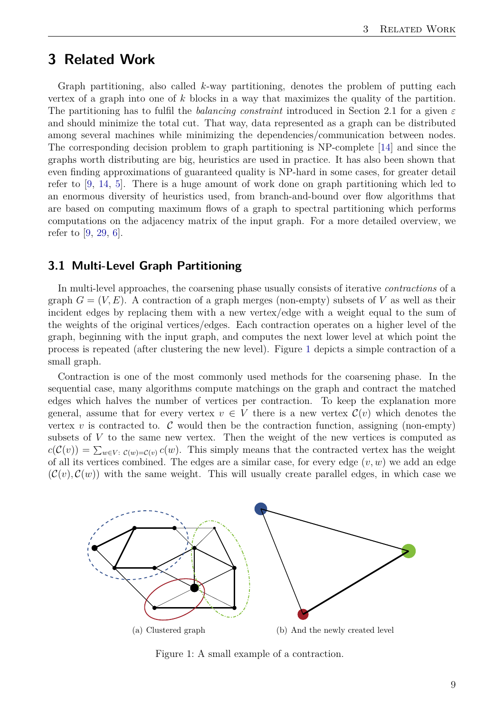## <span id="page-8-0"></span>**3 Related Work**

Graph partitioning, also called *k*-way partitioning, denotes the problem of putting each vertex of a graph into one of *k* blocks in a way that maximizes the quality of the partition. The partitioning has to fulfil the *balancing constraint* introduced in Section 2.1 for a given *ε* and should minimize the total cut. That way, data represented as a graph can be distributed among several machines while minimizing the dependencies/communication between nodes. The corresponding decision problem to graph partitioning is NP-complete [\[14\]](#page-31-9) and since the graphs worth distributing are big, heuristics are used in practice. It has also been shown that even finding approximations of guaranteed quality is NP-hard in some cases, for greater detail refer to [\[9,](#page-31-7) [14,](#page-31-9) [5\]](#page-31-10). There is a huge amount of work done on graph partitioning which led to an enormous diversity of heuristics used, from branch-and-bound over flow algorithms that are based on computing maximum flows of a graph to spectral partitioning which performs computations on the adjacency matrix of the input graph. For a more detailed overview, we refer to [\[9,](#page-31-7) [29,](#page-32-2) [6\]](#page-31-11).

#### <span id="page-8-1"></span>**3.1 Multi-Level Graph Partitioning**

In multi-level approaches, the coarsening phase usually consists of iterative *contractions* of a graph  $G = (V, E)$ . A contraction of a graph merges (non-empty) subsets of V as well as their incident edges by replacing them with a new vertex/edge with a weight equal to the sum of the weights of the original vertices/edges. Each contraction operates on a higher level of the graph, beginning with the input graph, and computes the next lower level at which point the process is repeated (after clustering the new level). Figure [1](#page-8-2) depicts a simple contraction of a small graph.

Contraction is one of the most commonly used methods for the coarsening phase. In the sequential case, many algorithms compute matchings on the graph and contract the matched edges which halves the number of vertices per contraction. To keep the explanation more general, assume that for every vertex  $v \in V$  there is a new vertex  $\mathcal{C}(v)$  which denotes the vertex  $v$  is contracted to.  $\mathcal C$  would then be the contraction function, assigning (non-empty) subsets of *V* to the same new vertex. Then the weight of the new vertices is computed as  $c(\mathcal{C}(v)) = \sum_{w \in V: \ \mathcal{C}(w) = \mathcal{C}(v)} c(w)$ . This simply means that the contracted vertex has the weight of all its vertices combined. The edges are a similar case, for every edge  $(v, w)$  we add an edge  $(\mathcal{C}(v), \mathcal{C}(w))$  with the same weight. This will usually create parallel edges, in which case we



<span id="page-8-2"></span>Figure 1: A small example of a contraction.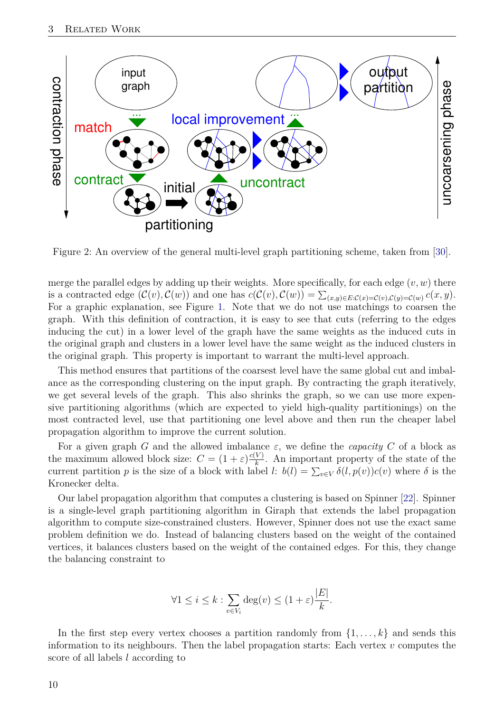

Figure 2: An overview of the general multi-level graph partitioning scheme, taken from [\[30\]](#page-32-8).

merge the parallel edges by adding up their weights. More specifically, for each edge (*v, w*) there is a contracted edge  $(C(v), C(w))$  and one has  $c(C(v), C(w)) = \sum_{(x,y)\in E:C(x) = C(v), C(y) = C(w)} c(x, y)$ . For a graphic explanation, see Figure [1.](#page-8-2) Note that we do not use matchings to coarsen the graph. With this definition of contraction, it is easy to see that cuts (referring to the edges inducing the cut) in a lower level of the graph have the same weights as the induced cuts in the original graph and clusters in a lower level have the same weight as the induced clusters in the original graph. This property is important to warrant the multi-level approach.

This method ensures that partitions of the coarsest level have the same global cut and imbalance as the corresponding clustering on the input graph. By contracting the graph iteratively, we get several levels of the graph. This also shrinks the graph, so we can use more expensive partitioning algorithms (which are expected to yield high-quality partitionings) on the most contracted level, use that partitioning one level above and then run the cheaper label propagation algorithm to improve the current solution.

For a given graph *G* and the allowed imbalance  $\varepsilon$ , we define the *capacity C* of a block as the maximum allowed block size:  $C = (1 + \varepsilon) \frac{c(V)}{h}$  $\frac{V}{k}$ . An important property of the state of the current partition *p* is the size of a block with label *l*:  $b(l) = \sum_{v \in V} \delta(l, p(v))c(v)$  where  $\delta$  is the Kronecker delta.

Our label propagation algorithm that computes a clustering is based on Spinner [\[22\]](#page-32-0). Spinner is a single-level graph partitioning algorithm in Giraph that extends the label propagation algorithm to compute size-constrained clusters. However, Spinner does not use the exact same problem definition we do. Instead of balancing clusters based on the weight of the contained vertices, it balances clusters based on the weight of the contained edges. For this, they change the balancing constraint to

$$
\forall 1 \leq i \leq k : \sum_{v \in V_i} \deg(v) \leq (1 + \varepsilon) \frac{|E|}{k}.
$$

In the first step every vertex chooses a partition randomly from  $\{1, \ldots, k\}$  and sends this information to its neighbours. Then the label propagation starts: Each vertex *v* computes the score of all labels *l* according to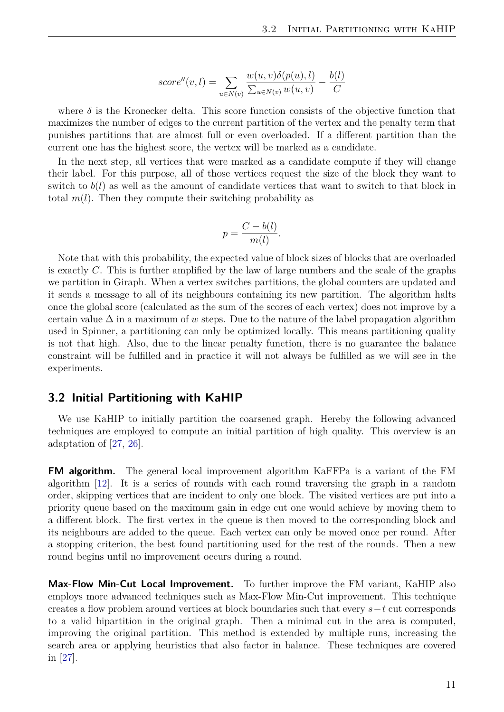$$
score''(v,l) = \sum_{u \in N(v)} \frac{w(u,v)\delta(p(u),l)}{\sum_{u \in N(v)} w(u,v)} - \frac{b(l)}{C}
$$

where  $\delta$  is the Kronecker delta. This score function consists of the objective function that maximizes the number of edges to the current partition of the vertex and the penalty term that punishes partitions that are almost full or even overloaded. If a different partition than the current one has the highest score, the vertex will be marked as a candidate.

In the next step, all vertices that were marked as a candidate compute if they will change their label. For this purpose, all of those vertices request the size of the block they want to switch to *b*(*l*) as well as the amount of candidate vertices that want to switch to that block in total  $m(l)$ . Then they compute their switching probability as

$$
p = \frac{C - b(l)}{m(l)}.
$$

Note that with this probability, the expected value of block sizes of blocks that are overloaded is exactly *C*. This is further amplified by the law of large numbers and the scale of the graphs we partition in Giraph. When a vertex switches partitions, the global counters are updated and it sends a message to all of its neighbours containing its new partition. The algorithm halts once the global score (calculated as the sum of the scores of each vertex) does not improve by a certain value ∆ in a maximum of *w* steps. Due to the nature of the label propagation algorithm used in Spinner, a partitioning can only be optimized locally. This means partitioning quality is not that high. Also, due to the linear penalty function, there is no guarantee the balance constraint will be fulfilled and in practice it will not always be fulfilled as we will see in the experiments.

#### <span id="page-10-0"></span>**3.2 Initial Partitioning with KaHIP**

We use KaHIP to initially partition the coarsened graph. Hereby the following advanced techniques are employed to compute an initial partition of high quality. This overview is an adaptation of [\[27,](#page-32-9) [26\]](#page-32-10).

**FM algorithm.** The general local improvement algorithm KaFFPa is a variant of the FM algorithm [\[12\]](#page-31-12). It is a series of rounds with each round traversing the graph in a random order, skipping vertices that are incident to only one block. The visited vertices are put into a priority queue based on the maximum gain in edge cut one would achieve by moving them to a different block. The first vertex in the queue is then moved to the corresponding block and its neighbours are added to the queue. Each vertex can only be moved once per round. After a stopping criterion, the best found partitioning used for the rest of the rounds. Then a new round begins until no improvement occurs during a round.

**Max-Flow Min-Cut Local Improvement.** To further improve the FM variant, KaHIP also employs more advanced techniques such as Max-Flow Min-Cut improvement. This technique creates a flow problem around vertices at block boundaries such that every *s*−*t* cut corresponds to a valid bipartition in the original graph. Then a minimal cut in the area is computed, improving the original partition. This method is extended by multiple runs, increasing the search area or applying heuristics that also factor in balance. These techniques are covered in [\[27\]](#page-32-9).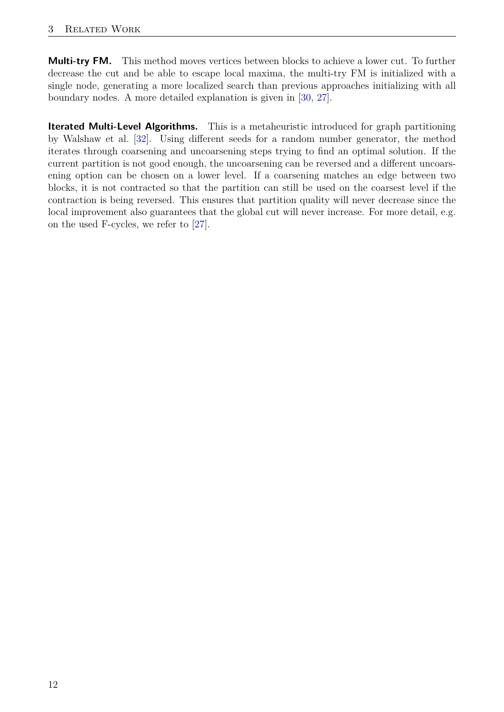**Multi-try FM.** This method moves vertices between blocks to achieve a lower cut. To further decrease the cut and be able to escape local maxima, the multi-try FM is initialized with a single node, generating a more localized search than previous approaches initializing with all boundary nodes. A more detailed explanation is given in [\[30,](#page-32-8) [27\]](#page-32-9).

**Iterated Multi-Level Algorithms.** This is a metaheuristic introduced for graph partitioning by Walshaw et al. [\[32\]](#page-32-11). Using different seeds for a random number generator, the method iterates through coarsening and uncoarsening steps trying to find an optimal solution. If the current partition is not good enough, the uncoarsening can be reversed and a different uncoarsening option can be chosen on a lower level. If a coarsening matches an edge between two blocks, it is not contracted so that the partition can still be used on the coarsest level if the contraction is being reversed. This ensures that partition quality will never decrease since the local improvement also guarantees that the global cut will never increase. For more detail, e.g. on the used F-cycles, we refer to [\[27\]](#page-32-9).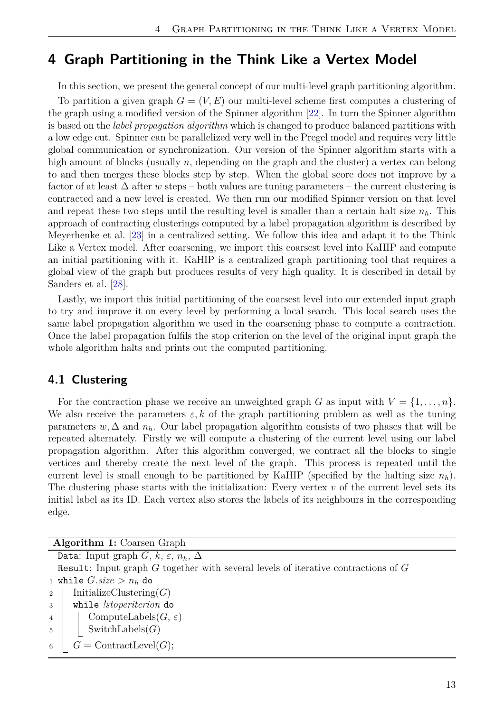## <span id="page-12-0"></span>**4 Graph Partitioning in the Think Like a Vertex Model**

In this section, we present the general concept of our multi-level graph partitioning algorithm. To partition a given graph  $G = (V, E)$  our multi-level scheme first computes a clustering of the graph using a modified version of the Spinner algorithm [\[22\]](#page-32-0). In turn the Spinner algorithm is based on the *label propagation algorithm* which is changed to produce balanced partitions with a low edge cut. Spinner can be parallelized very well in the Pregel model and requires very little global communication or synchronization. Our version of the Spinner algorithm starts with a high amount of blocks (usually *n*, depending on the graph and the cluster) a vertex can belong to and then merges these blocks step by step. When the global score does not improve by a factor of at least ∆ after *w* steps – both values are tuning parameters – the current clustering is contracted and a new level is created. We then run our modified Spinner version on that level and repeat these two steps until the resulting level is smaller than a certain halt size  $n_h$ . This approach of contracting clusterings computed by a label propagation algorithm is described by Meyerhenke et al. [\[23\]](#page-32-12) in a centralized setting. We follow this idea and adapt it to the Think Like a Vertex model. After coarsening, we import this coarsest level into KaHIP and compute an initial partitioning with it. KaHIP is a centralized graph partitioning tool that requires a global view of the graph but produces results of very high quality. It is described in detail by Sanders et al. [\[28\]](#page-32-13).

Lastly, we import this initial partitioning of the coarsest level into our extended input graph to try and improve it on every level by performing a local search. This local search uses the same label propagation algorithm we used in the coarsening phase to compute a contraction. Once the label propagation fulfils the stop criterion on the level of the original input graph the whole algorithm halts and prints out the computed partitioning.

#### <span id="page-12-1"></span>**4.1 Clustering**

For the contraction phase we receive an unweighted graph *G* as input with  $V = \{1, \ldots, n\}$ . We also receive the parameters  $\varepsilon, k$  of the graph partitioning problem as well as the tuning parameters  $w, \Delta$  and  $n_h$ . Our label propagation algorithm consists of two phases that will be repeated alternately. Firstly we will compute a clustering of the current level using our label propagation algorithm. After this algorithm converged, we contract all the blocks to single vertices and thereby create the next level of the graph. This process is repeated until the current level is small enough to be partitioned by KaHIP (specified by the halting size  $n_h$ ). The clustering phase starts with the initialization: Every vertex *v* of the current level sets its initial label as its ID. Each vertex also stores the labels of its neighbours in the corresponding edge.

| <b>Algorithm 1:</b> Coarsen Graph                                                     |
|---------------------------------------------------------------------------------------|
| Data: Input graph $G, k, \varepsilon, n_h, \Delta$                                    |
| Result: Input graph $G$ together with several levels of iterative contractions of $G$ |
| 1 while $G.size > n_h$ do                                                             |
| InitializeClustering $(G)$<br>$\overline{2}$                                          |
| while !stopcriterion do<br>$\mathbf{3}$                                               |
| ComputeLabels $(G, \varepsilon)$<br>$\overline{4}$                                    |
| SwitchLabels $(G)$<br>5 <sup>5</sup>                                                  |
| $G = \text{ContractLevel}(G);$<br>6                                                   |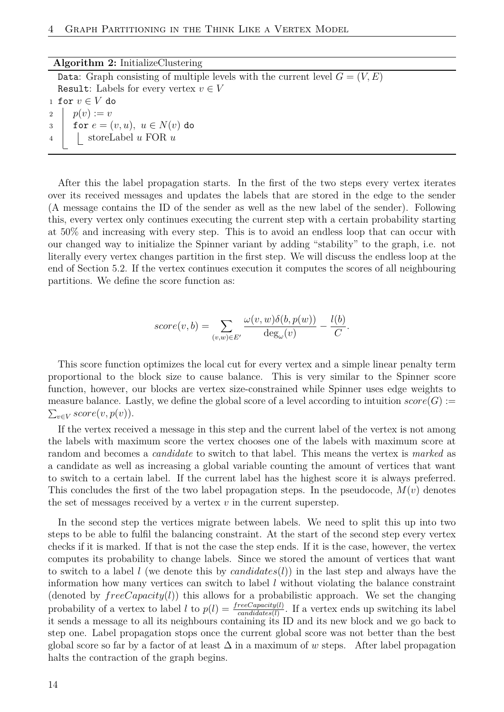#### **Algorithm 2:** InitializeClustering

Data: Graph consisting of multiple levels with the current level  $G = (V, E)$ Result: Labels for every vertex  $v \in V$ 1 for  $v \in V$  do 2 |  $p(v) := v$ 3 for  $e = (v, u), u \in N(v)$  do <sup>4</sup> storeLabel *u* FOR *u*

After this the label propagation starts. In the first of the two steps every vertex iterates over its received messages and updates the labels that are stored in the edge to the sender (A message contains the ID of the sender as well as the new label of the sender). Following this, every vertex only continues executing the current step with a certain probability starting at 50% and increasing with every step. This is to avoid an endless loop that can occur with our changed way to initialize the Spinner variant by adding "stability" to the graph, i.e. not literally every vertex changes partition in the first step. We will discuss the endless loop at the end of Section 5.2. If the vertex continues execution it computes the scores of all neighbouring partitions. We define the score function as:

$$
score(v, b) = \sum_{(v, w) \in E'} \frac{\omega(v, w)\delta(b, p(w))}{\deg_{\omega}(v)} - \frac{l(b)}{C}.
$$

This score function optimizes the local cut for every vertex and a simple linear penalty term proportional to the block size to cause balance. This is very similar to the Spinner score function, however, our blocks are vertex size-constrained while Spinner uses edge weights to measure balance. Lastly, we define the global score of a level according to intuition  $score(G)$ :  $\sum_{v \in V} score(v, p(v))$ .

If the vertex received a message in this step and the current label of the vertex is not among the labels with maximum score the vertex chooses one of the labels with maximum score at random and becomes a *candidate* to switch to that label. This means the vertex is *marked* as a candidate as well as increasing a global variable counting the amount of vertices that want to switch to a certain label. If the current label has the highest score it is always preferred. This concludes the first of the two label propagation steps. In the pseudocode, *M*(*v*) denotes the set of messages received by a vertex *v* in the current superstep.

In the second step the vertices migrate between labels. We need to split this up into two steps to be able to fulfil the balancing constraint. At the start of the second step every vertex checks if it is marked. If that is not the case the step ends. If it is the case, however, the vertex computes its probability to change labels. Since we stored the amount of vertices that want to switch to a label *l* (we denote this by *candidates*(*l*)) in the last step and always have the information how many vertices can switch to label *l* without violating the balance constraint (denoted by  $free Capacity(l)$ ) this allows for a probabilistic approach. We set the changing probability of a vertex to label *l* to  $p(l) = \frac{free Capacity(l)}{candidates(l)}$ . If a vertex ends up switching its label it sends a message to all its neighbours containing its ID and its new block and we go back to step one. Label propagation stops once the current global score was not better than the best global score so far by a factor of at least  $\Delta$  in a maximum of *w* steps. After label propagation halts the contraction of the graph begins.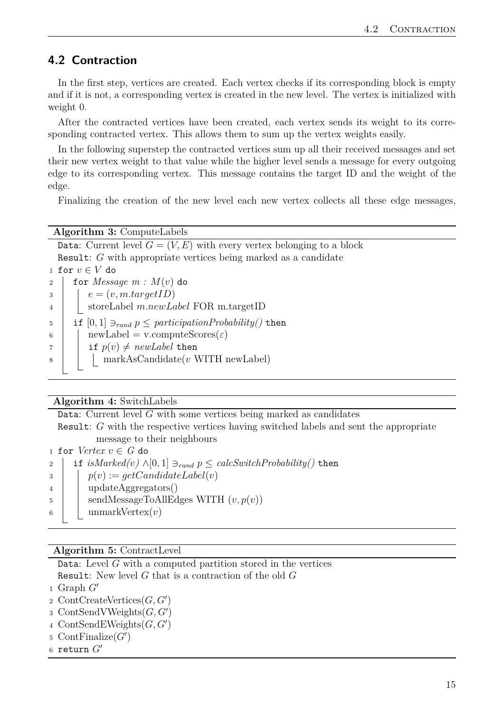#### <span id="page-14-0"></span>**4.2 Contraction**

In the first step, vertices are created. Each vertex checks if its corresponding block is empty and if it is not, a corresponding vertex is created in the new level. The vertex is initialized with weight 0.

After the contracted vertices have been created, each vertex sends its weight to its corresponding contracted vertex. This allows them to sum up the vertex weights easily.

In the following superstep the contracted vertices sum up all their received messages and set their new vertex weight to that value while the higher level sends a message for every outgoing edge to its corresponding vertex. This message contains the target ID and the weight of the edge.

Finalizing the creation of the new level each new vertex collects all these edge messages,

**Algorithm 3:** ComputeLabels

Data: Current level  $G = (V, E)$  with every vertex belonging to a block Result: *G* with appropriate vertices being marked as a candidate 1 for  $v \in V$  do 2 for *Message*  $m : M(v)$  do  $e = (v, m.t a r q et ID)$ <sup>4</sup> storeLabel *m.newLabel* FOR m.targetID 5 if  $[0,1]$   $\supset_{rand} p \leq$  participation Probability() then 6 |  $newLabel = v.compileScore(\varepsilon)$  $7 \mid \text{if } p(v) \neq \text{newLabel}$  then 8 | | markAsCandidate(*v* WITH newLabel)

#### **Algorithm 4:** SwitchLabels

Data: Current level *G* with some vertices being marked as candidates

Result: *G* with the respective vertices having switched labels and sent the appropriate message to their neighbours

1 for  $Vertex \, v \in G$  do

2 if  $isMarked(v) \wedge [0,1] \ni_{rand} p \leq calcSwitchProbability()$  then  $p(v) := qetC andideLabel(v)$ <sup>4</sup> updateAggregators()  $\mathfrak{g}$  | sendMessageToAllEdges WITH  $(v, p(v))$ <sup>6</sup> unmarkVertex(*v*)

#### **Algorithm 5:** ContractLevel

Data: Level *G* with a computed partition stored in the vertices

Result: New level *G* that is a contraction of the old *G*

- $_1$  Graph  $G'$
- 2 ContCreateVertices $(G, G')$
- 3 ContSendVWeights $(G, G')$
- 4 ContSendEWeights $(G, G')$
- 5 ContFinalize $(G')$
- $6$  return  $G'$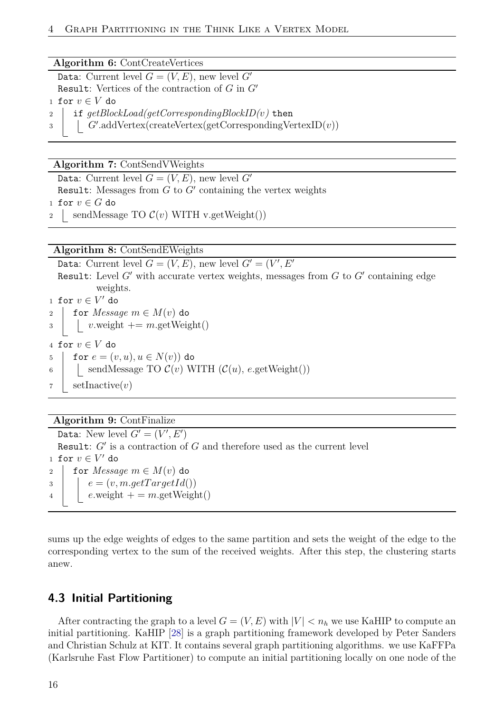#### **Algorithm 6:** ContCreateVertices

Data: Current level  $G = (V, E)$ , new level  $G'$ Result: Vertices of the contraction of  $G$  in  $G'$ 1 for  $v \in V$  do <sup>2</sup> if *getBlockLoad(getCorrespondingBlockID(v)* then 3 | *G*'.addVertex(createVertex(getCorrespondingVertexID(*v*))

#### **Algorithm 7:** ContSendVWeights

Data: Current level  $G = (V, E)$ , new level  $G'$ Result: Messages from  $G$  to  $G'$  containing the vertex weights 1 for  $v \in G$  do  $\vert$  sendMessage TO  $\mathcal{C}(v)$  WITH v.getWeight())

**Algorithm 8:** ContSendEWeights

Data: Current level  $G = (V, E)$ , new level  $G' = (V', E')$ Result: Level  $G'$  with accurate vertex weights, messages from  $G$  to  $G'$  containing edge weights. 1 for  $v \in V'$  do 2 for *Message*  $m \in M(v)$  do  $\alpha$  | *v*.weight  $+= m \text{.getWeight}()$ 4 for  $v \in V$  do 5 for  $e = (v, u), u \in N(v)$  do 6 | sendMessage TO  $\mathcal{C}(v)$  WITH  $(\mathcal{C}(u), e.\text{getWeight}))$ <sup>7</sup> setInactive(*v*)

#### **Algorithm 9:** ContFinalize

Data: New level  $G' = (V', E')$ Result:  $G'$  is a contraction of  $G$  and therefore used as the current level 1 for  $v \in V'$  do 2 for *Message*  $m \in M(v)$  do  $e = (v, m.getTargetId))$  $\downarrow$  **e**.weight + = *m*.getWeight()

sums up the edge weights of edges to the same partition and sets the weight of the edge to the corresponding vertex to the sum of the received weights. After this step, the clustering starts anew.

## <span id="page-15-0"></span>**4.3 Initial Partitioning**

After contracting the graph to a level  $G = (V, E)$  with  $|V| < n_h$  we use KaHIP to compute an initial partitioning. KaHIP [\[28\]](#page-32-13) is a graph partitioning framework developed by Peter Sanders and Christian Schulz at KIT. It contains several graph partitioning algorithms. we use KaFFPa (Karlsruhe Fast Flow Partitioner) to compute an initial partitioning locally on one node of the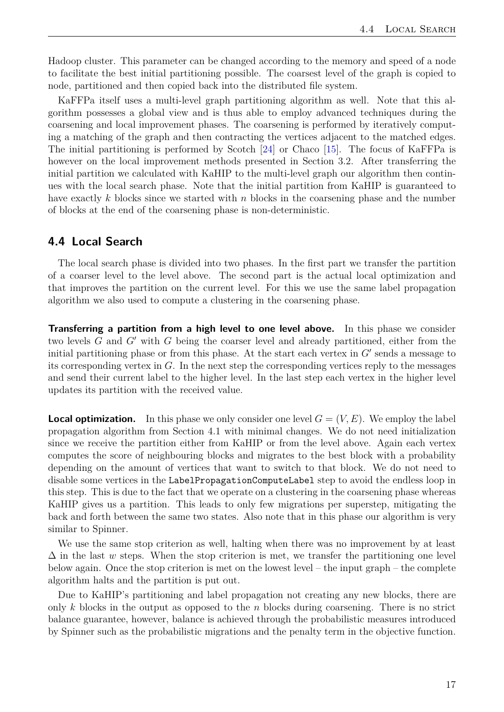Hadoop cluster. This parameter can be changed according to the memory and speed of a node to facilitate the best initial partitioning possible. The coarsest level of the graph is copied to node, partitioned and then copied back into the distributed file system.

KaFFPa itself uses a multi-level graph partitioning algorithm as well. Note that this algorithm possesses a global view and is thus able to employ advanced techniques during the coarsening and local improvement phases. The coarsening is performed by iteratively computing a matching of the graph and then contracting the vertices adjacent to the matched edges. The initial partitioning is performed by Scotch [\[24\]](#page-32-14) or Chaco [\[15\]](#page-31-13). The focus of KaFFPa is however on the local improvement methods presented in Section 3.2. After transferring the initial partition we calculated with KaHIP to the multi-level graph our algorithm then continues with the local search phase. Note that the initial partition from KaHIP is guaranteed to have exactly *k* blocks since we started with *n* blocks in the coarsening phase and the number of blocks at the end of the coarsening phase is non-deterministic.

#### <span id="page-16-0"></span>**4.4 Local Search**

The local search phase is divided into two phases. In the first part we transfer the partition of a coarser level to the level above. The second part is the actual local optimization and that improves the partition on the current level. For this we use the same label propagation algorithm we also used to compute a clustering in the coarsening phase.

**Transferring a partition from a high level to one level above.** In this phase we consider two levels  $G$  and  $G'$  with  $G$  being the coarser level and already partitioned, either from the initial partitioning phase or from this phase. At the start each vertex in  $G'$  sends a message to its corresponding vertex in *G*. In the next step the corresponding vertices reply to the messages and send their current label to the higher level. In the last step each vertex in the higher level updates its partition with the received value.

**Local optimization.** In this phase we only consider one level  $G = (V, E)$ . We employ the label propagation algorithm from Section 4.1 with minimal changes. We do not need initialization since we receive the partition either from KaHIP or from the level above. Again each vertex computes the score of neighbouring blocks and migrates to the best block with a probability depending on the amount of vertices that want to switch to that block. We do not need to disable some vertices in the LabelPropagationComputeLabel step to avoid the endless loop in this step. This is due to the fact that we operate on a clustering in the coarsening phase whereas KaHIP gives us a partition. This leads to only few migrations per superstep, mitigating the back and forth between the same two states. Also note that in this phase our algorithm is very similar to Spinner.

We use the same stop criterion as well, halting when there was no improvement by at least  $\Delta$  in the last *w* steps. When the stop criterion is met, we transfer the partitioning one level below again. Once the stop criterion is met on the lowest level – the input graph – the complete algorithm halts and the partition is put out.

Due to KaHIP's partitioning and label propagation not creating any new blocks, there are only *k* blocks in the output as opposed to the *n* blocks during coarsening. There is no strict balance guarantee, however, balance is achieved through the probabilistic measures introduced by Spinner such as the probabilistic migrations and the penalty term in the objective function.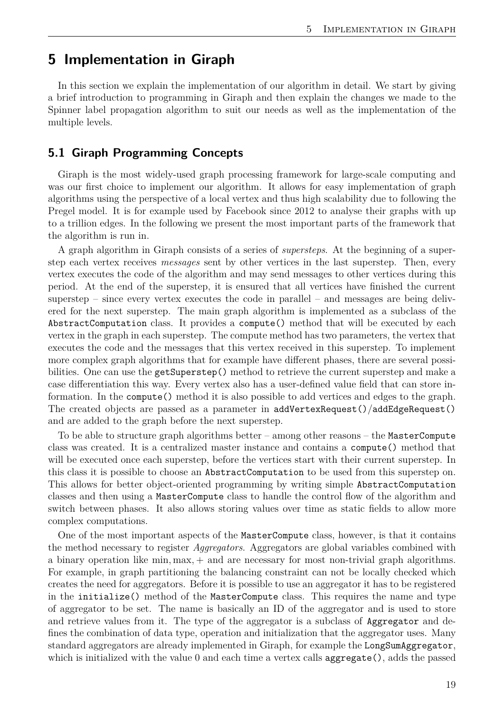## <span id="page-18-0"></span>**5 Implementation in Giraph**

In this section we explain the implementation of our algorithm in detail. We start by giving a brief introduction to programming in Giraph and then explain the changes we made to the Spinner label propagation algorithm to suit our needs as well as the implementation of the multiple levels.

#### <span id="page-18-1"></span>**5.1 Giraph Programming Concepts**

Giraph is the most widely-used graph processing framework for large-scale computing and was our first choice to implement our algorithm. It allows for easy implementation of graph algorithms using the perspective of a local vertex and thus high scalability due to following the Pregel model. It is for example used by Facebook since 2012 to analyse their graphs with up to a trillion edges. In the following we present the most important parts of the framework that the algorithm is run in.

A graph algorithm in Giraph consists of a series of *supersteps*. At the beginning of a superstep each vertex receives *messages* sent by other vertices in the last superstep. Then, every vertex executes the code of the algorithm and may send messages to other vertices during this period. At the end of the superstep, it is ensured that all vertices have finished the current superstep – since every vertex executes the code in parallel – and messages are being delivered for the next superstep. The main graph algorithm is implemented as a subclass of the AbstractComputation class. It provides a compute() method that will be executed by each vertex in the graph in each superstep. The compute method has two parameters, the vertex that executes the code and the messages that this vertex received in this superstep. To implement more complex graph algorithms that for example have different phases, there are several possibilities. One can use the getSuperstep() method to retrieve the current superstep and make a case differentiation this way. Every vertex also has a user-defined value field that can store information. In the compute() method it is also possible to add vertices and edges to the graph. The created objects are passed as a parameter in addVertexRequest()/addEdgeRequest() and are added to the graph before the next superstep.

To be able to structure graph algorithms better – among other reasons – the MasterCompute class was created. It is a centralized master instance and contains a compute() method that will be executed once each superstep, before the vertices start with their current superstep. In this class it is possible to choose an AbstractComputation to be used from this superstep on. This allows for better object-oriented programming by writing simple AbstractComputation classes and then using a MasterCompute class to handle the control flow of the algorithm and switch between phases. It also allows storing values over time as static fields to allow more complex computations.

One of the most important aspects of the MasterCompute class, however, is that it contains the method necessary to register *Aggregators*. Aggregators are global variables combined with a binary operation like min*,* max*,* + and are necessary for most non-trivial graph algorithms. For example, in graph partitioning the balancing constraint can not be locally checked which creates the need for aggregators. Before it is possible to use an aggregator it has to be registered in the initialize() method of the MasterCompute class. This requires the name and type of aggregator to be set. The name is basically an ID of the aggregator and is used to store and retrieve values from it. The type of the aggregator is a subclass of Aggregator and defines the combination of data type, operation and initialization that the aggregator uses. Many standard aggregators are already implemented in Giraph, for example the LongSumAggregator, which is initialized with the value 0 and each time a vertex calls aggregate(), adds the passed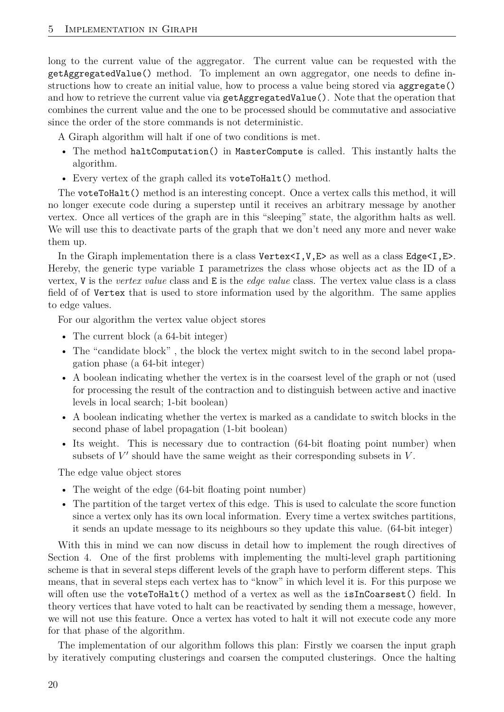long to the current value of the aggregator. The current value can be requested with the getAggregatedValue() method. To implement an own aggregator, one needs to define instructions how to create an initial value, how to process a value being stored via aggregate() and how to retrieve the current value via getAggregatedValue(). Note that the operation that combines the current value and the one to be processed should be commutative and associative since the order of the store commands is not deterministic.

A Giraph algorithm will halt if one of two conditions is met.

- The method haltComputation() in MasterCompute is called. This instantly halts the algorithm.
- Every vertex of the graph called its voteToHalt() method.

The voteToHalt() method is an interesting concept. Once a vertex calls this method, it will no longer execute code during a superstep until it receives an arbitrary message by another vertex. Once all vertices of the graph are in this "sleeping" state, the algorithm halts as well. We will use this to deactivate parts of the graph that we don't need any more and never wake them up.

In the Giraph implementation there is a class  $Vertex < I, V, E >$  as well as a class Edge $< I, E >$ . Hereby, the generic type variable I parametrizes the class whose objects act as the ID of a vertex, V is the *vertex value* class and E is the *edge value* class. The vertex value class is a class field of of Vertex that is used to store information used by the algorithm. The same applies to edge values.

For our algorithm the vertex value object stores

- The current block (a 64-bit integer)
- The "candidate block" , the block the vertex might switch to in the second label propagation phase (a 64-bit integer)
- A boolean indicating whether the vertex is in the coarsest level of the graph or not (used for processing the result of the contraction and to distinguish between active and inactive levels in local search; 1-bit boolean)
- A boolean indicating whether the vertex is marked as a candidate to switch blocks in the second phase of label propagation (1-bit boolean)
- Its weight. This is necessary due to contraction (64-bit floating point number) when subsets of  $V'$  should have the same weight as their corresponding subsets in  $V$ .

The edge value object stores

- The weight of the edge (64-bit floating point number)
- The partition of the target vertex of this edge. This is used to calculate the score function since a vertex only has its own local information. Every time a vertex switches partitions, it sends an update message to its neighbours so they update this value. (64-bit integer)

With this in mind we can now discuss in detail how to implement the rough directives of Section 4. One of the first problems with implementing the multi-level graph partitioning scheme is that in several steps different levels of the graph have to perform different steps. This means, that in several steps each vertex has to "know" in which level it is. For this purpose we will often use the voteToHalt() method of a vertex as well as the  $isInCoarsest()$  field. In theory vertices that have voted to halt can be reactivated by sending them a message, however, we will not use this feature. Once a vertex has voted to halt it will not execute code any more for that phase of the algorithm.

The implementation of our algorithm follows this plan: Firstly we coarsen the input graph by iteratively computing clusterings and coarsen the computed clusterings. Once the halting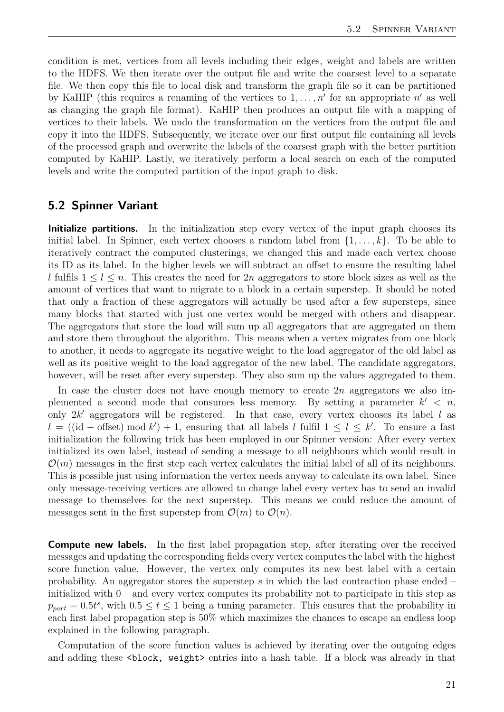condition is met, vertices from all levels including their edges, weight and labels are written to the HDFS. We then iterate over the output file and write the coarsest level to a separate file. We then copy this file to local disk and transform the graph file so it can be partitioned by KaHIP (this requires a renaming of the vertices to  $1, \ldots, n'$  for an appropriate  $n'$  as well as changing the graph file format). KaHIP then produces an output file with a mapping of vertices to their labels. We undo the transformation on the vertices from the output file and copy it into the HDFS. Subsequently, we iterate over our first output file containing all levels of the processed graph and overwrite the labels of the coarsest graph with the better partition computed by KaHIP. Lastly, we iteratively perform a local search on each of the computed levels and write the computed partition of the input graph to disk.

#### <span id="page-20-0"></span>**5.2 Spinner Variant**

**Initialize partitions.** In the initialization step every vertex of the input graph chooses its initial label. In Spinner, each vertex chooses a random label from  $\{1, \ldots, k\}$ . To be able to iteratively contract the computed clusterings, we changed this and made each vertex choose its ID as its label. In the higher levels we will subtract an offset to ensure the resulting label *l* fulfils  $1 \leq l \leq n$ . This creates the need for 2*n* aggregators to store block sizes as well as the amount of vertices that want to migrate to a block in a certain superstep. It should be noted that only a fraction of these aggregators will actually be used after a few supersteps, since many blocks that started with just one vertex would be merged with others and disappear. The aggregators that store the load will sum up all aggregators that are aggregated on them and store them throughout the algorithm. This means when a vertex migrates from one block to another, it needs to aggregate its negative weight to the load aggregator of the old label as well as its positive weight to the load aggregator of the new label. The candidate aggregators, however, will be reset after every superstep. They also sum up the values aggregated to them.

In case the cluster does not have enough memory to create 2*n* aggregators we also implemented a second mode that consumes less memory. By setting a parameter  $k' < n$ , only  $2k'$  aggregators will be registered. In that case, every vertex chooses its label  $l$  as  $l = (id - offset) \mod k' + 1$ , ensuring that all labels *l* fulfil  $1 \leq l \leq k'$ . To ensure a fast initialization the following trick has been employed in our Spinner version: After every vertex initialized its own label, instead of sending a message to all neighbours which would result in  $\mathcal{O}(m)$  messages in the first step each vertex calculates the initial label of all of its neighbours. This is possible just using information the vertex needs anyway to calculate its own label. Since only message-receiving vertices are allowed to change label every vertex has to send an invalid message to themselves for the next superstep. This means we could reduce the amount of messages sent in the first superstep from  $\mathcal{O}(m)$  to  $\mathcal{O}(n)$ .

**Compute new labels.** In the first label propagation step, after iterating over the received messages and updating the corresponding fields every vertex computes the label with the highest score function value. However, the vertex only computes its new best label with a certain probability. An aggregator stores the superstep *s* in which the last contraction phase ended – initialized with  $0$  – and every vertex computes its probability not to participate in this step as  $p_{part} = 0.5t^s$ , with  $0.5 \le t \le 1$  being a tuning parameter. This ensures that the probability in each first label propagation step is 50% which maximizes the chances to escape an endless loop explained in the following paragraph.

Computation of the score function values is achieved by iterating over the outgoing edges and adding these  $\text{block}, \text{weight}$  entries into a hash table. If a block was already in that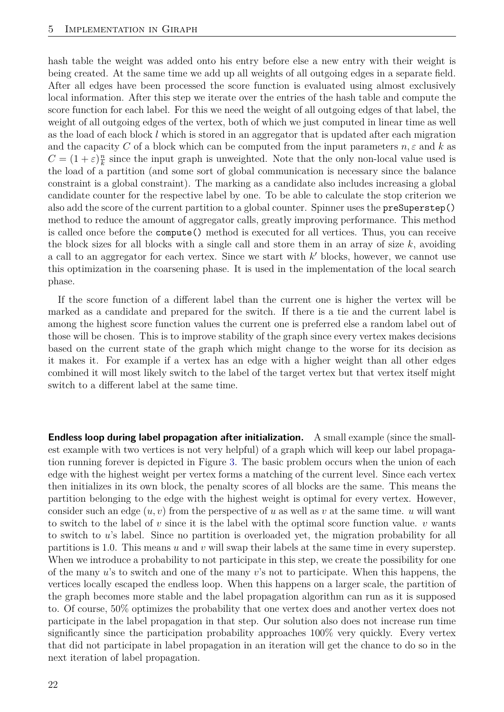hash table the weight was added onto his entry before else a new entry with their weight is being created. At the same time we add up all weights of all outgoing edges in a separate field. After all edges have been processed the score function is evaluated using almost exclusively local information. After this step we iterate over the entries of the hash table and compute the score function for each label. For this we need the weight of all outgoing edges of that label, the weight of all outgoing edges of the vertex, both of which we just computed in linear time as well as the load of each block *l* which is stored in an aggregator that is updated after each migration and the capacity *C* of a block which can be computed from the input parameters  $n, \varepsilon$  and  $k$  as  $C = (1 + \varepsilon)\frac{n}{k}$  $\frac{n}{k}$  since the input graph is unweighted. Note that the only non-local value used is the load of a partition (and some sort of global communication is necessary since the balance constraint is a global constraint). The marking as a candidate also includes increasing a global candidate counter for the respective label by one. To be able to calculate the stop criterion we also add the score of the current partition to a global counter. Spinner uses the preSuperstep() method to reduce the amount of aggregator calls, greatly improving performance. This method is called once before the compute() method is executed for all vertices. Thus, you can receive the block sizes for all blocks with a single call and store them in an array of size *k*, avoiding a call to an aggregator for each vertex. Since we start with  $k'$  blocks, however, we cannot use this optimization in the coarsening phase. It is used in the implementation of the local search phase.

If the score function of a different label than the current one is higher the vertex will be marked as a candidate and prepared for the switch. If there is a tie and the current label is among the highest score function values the current one is preferred else a random label out of those will be chosen. This is to improve stability of the graph since every vertex makes decisions based on the current state of the graph which might change to the worse for its decision as it makes it. For example if a vertex has an edge with a higher weight than all other edges combined it will most likely switch to the label of the target vertex but that vertex itself might switch to a different label at the same time.

**Endless loop during label propagation after initialization.** A small example (since the smallest example with two vertices is not very helpful) of a graph which will keep our label propagation running forever is depicted in Figure [3.](#page-22-1) The basic problem occurs when the union of each edge with the highest weight per vertex forms a matching of the current level. Since each vertex then initializes in its own block, the penalty scores of all blocks are the same. This means the partition belonging to the edge with the highest weight is optimal for every vertex. However, consider such an edge  $(u, v)$  from the perspective of *u* as well as *v* at the same time. *u* will want to switch to the label of *v* since it is the label with the optimal score function value. *v* wants to switch to *u*'s label. Since no partition is overloaded yet, the migration probability for all partitions is 1*.*0. This means *u* and *v* will swap their labels at the same time in every superstep. When we introduce a probability to not participate in this step, we create the possibility for one of the many *u*'s to switch and one of the many *v*'s not to participate. When this happens, the vertices locally escaped the endless loop. When this happens on a larger scale, the partition of the graph becomes more stable and the label propagation algorithm can run as it is supposed to. Of course, 50% optimizes the probability that one vertex does and another vertex does not participate in the label propagation in that step. Our solution also does not increase run time significantly since the participation probability approaches 100% very quickly. Every vertex that did not participate in label propagation in an iteration will get the chance to do so in the next iteration of label propagation.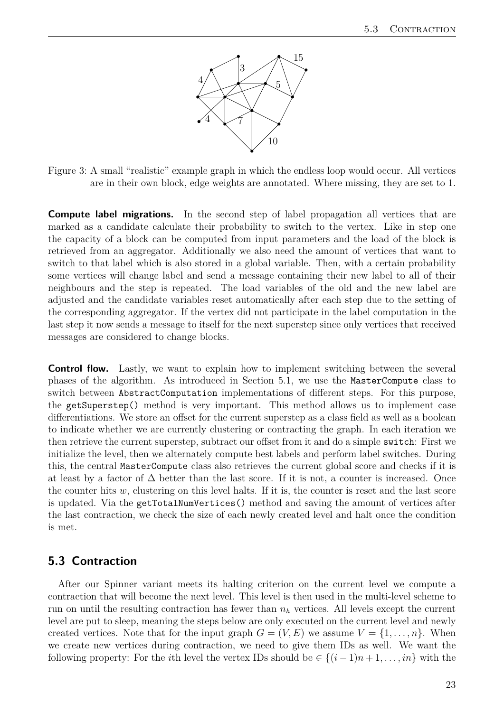

<span id="page-22-1"></span>Figure 3: A small "realistic" example graph in which the endless loop would occur. All vertices are in their own block, edge weights are annotated. Where missing, they are set to 1.

**Compute label migrations.** In the second step of label propagation all vertices that are marked as a candidate calculate their probability to switch to the vertex. Like in step one the capacity of a block can be computed from input parameters and the load of the block is retrieved from an aggregator. Additionally we also need the amount of vertices that want to switch to that label which is also stored in a global variable. Then, with a certain probability some vertices will change label and send a message containing their new label to all of their neighbours and the step is repeated. The load variables of the old and the new label are adjusted and the candidate variables reset automatically after each step due to the setting of the corresponding aggregator. If the vertex did not participate in the label computation in the last step it now sends a message to itself for the next superstep since only vertices that received messages are considered to change blocks.

**Control flow.** Lastly, we want to explain how to implement switching between the several phases of the algorithm. As introduced in Section 5.1, we use the MasterCompute class to switch between AbstractComputation implementations of different steps. For this purpose, the getSuperstep() method is very important. This method allows us to implement case differentiations. We store an offset for the current superstep as a class field as well as a boolean to indicate whether we are currently clustering or contracting the graph. In each iteration we then retrieve the current superstep, subtract our offset from it and do a simple switch: First we initialize the level, then we alternately compute best labels and perform label switches. During this, the central MasterCompute class also retrieves the current global score and checks if it is at least by a factor of  $\Delta$  better than the last score. If it is not, a counter is increased. Once the counter hits *w*, clustering on this level halts. If it is, the counter is reset and the last score is updated. Via the getTotalNumVertices() method and saving the amount of vertices after the last contraction, we check the size of each newly created level and halt once the condition is met.

#### <span id="page-22-0"></span>**5.3 Contraction**

After our Spinner variant meets its halting criterion on the current level we compute a contraction that will become the next level. This level is then used in the multi-level scheme to run on until the resulting contraction has fewer than *n<sup>h</sup>* vertices. All levels except the current level are put to sleep, meaning the steps below are only executed on the current level and newly created vertices. Note that for the input graph  $G = (V, E)$  we assume  $V = \{1, \ldots, n\}$ . When we create new vertices during contraction, we need to give them IDs as well. We want the following property: For the *i*th level the vertex IDs should be  $\in \{(i-1)n+1,\ldots,in\}$  with the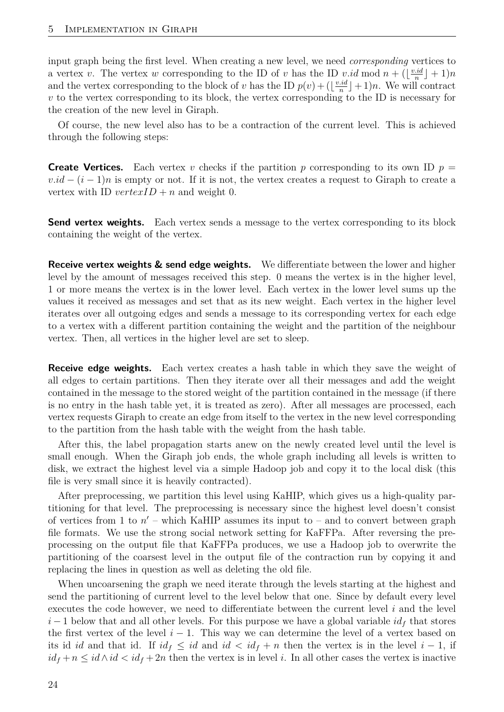input graph being the first level. When creating a new level, we need *corresponding* vertices to a vertex *v*. The vertex *w* corresponding to the ID of *v* has the ID *v.id* mod  $n + (\frac{v \cdot id}{n})$  $\frac{id}{n}$ <sup>1</sup> + 1)*n* and the vertex corresponding to the block of *v* has the ID  $p(v) + (\frac{v \cdot id}{n})$  $\frac{id}{n}$  | + 1)*n*. We will contract *v* to the vertex corresponding to its block, the vertex corresponding to the ID is necessary for the creation of the new level in Giraph.

Of course, the new level also has to be a contraction of the current level. This is achieved through the following steps:

**Create Vertices.** Each vertex *v* checks if the partition *p* corresponding to its own ID  $p =$  $v.id - (i - 1)n$  is empty or not. If it is not, the vertex creates a request to Giraph to create a vertex with ID  $vertexID + n$  and weight 0.

**Send vertex weights.** Each vertex sends a message to the vertex corresponding to its block containing the weight of the vertex.

**Receive vertex weights & send edge weights.** We differentiate between the lower and higher level by the amount of messages received this step. 0 means the vertex is in the higher level, 1 or more means the vertex is in the lower level. Each vertex in the lower level sums up the values it received as messages and set that as its new weight. Each vertex in the higher level iterates over all outgoing edges and sends a message to its corresponding vertex for each edge to a vertex with a different partition containing the weight and the partition of the neighbour vertex. Then, all vertices in the higher level are set to sleep.

**Receive edge weights.** Each vertex creates a hash table in which they save the weight of all edges to certain partitions. Then they iterate over all their messages and add the weight contained in the message to the stored weight of the partition contained in the message (if there is no entry in the hash table yet, it is treated as zero). After all messages are processed, each vertex requests Giraph to create an edge from itself to the vertex in the new level corresponding to the partition from the hash table with the weight from the hash table.

After this, the label propagation starts anew on the newly created level until the level is small enough. When the Giraph job ends, the whole graph including all levels is written to disk, we extract the highest level via a simple Hadoop job and copy it to the local disk (this file is very small since it is heavily contracted).

After preprocessing, we partition this level using KaHIP, which gives us a high-quality partitioning for that level. The preprocessing is necessary since the highest level doesn't consist of vertices from 1 to  $n'$  – which KaHIP assumes its input to – and to convert between graph file formats. We use the strong social network setting for KaFFPa. After reversing the preprocessing on the output file that KaFFPa produces, we use a Hadoop job to overwrite the partitioning of the coarsest level in the output file of the contraction run by copying it and replacing the lines in question as well as deleting the old file.

When uncoarsening the graph we need iterate through the levels starting at the highest and send the partitioning of current level to the level below that one. Since by default every level executes the code however, we need to differentiate between the current level *i* and the level  $i-1$  below that and all other levels. For this purpose we have a global variable  $id<sub>f</sub>$  that stores the first vertex of the level  $i - 1$ . This way we can determine the level of a vertex based on its id *id* and that id. If  $id_f \leq id$  and  $id < id_f + n$  then the vertex is in the level  $i-1$ , if  $id_f + n \leq id \wedge id < id_f + 2n$  then the vertex is in level *i*. In all other cases the vertex is inactive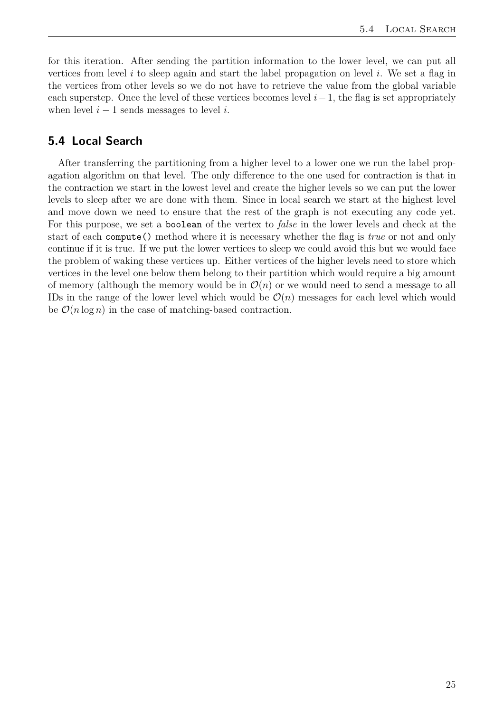for this iteration. After sending the partition information to the lower level, we can put all vertices from level *i* to sleep again and start the label propagation on level *i*. We set a flag in the vertices from other levels so we do not have to retrieve the value from the global variable each superstep. Once the level of these vertices becomes level *i*−1, the flag is set appropriately when level  $i - 1$  sends messages to level  $i$ .

#### <span id="page-24-0"></span>**5.4 Local Search**

After transferring the partitioning from a higher level to a lower one we run the label propagation algorithm on that level. The only difference to the one used for contraction is that in the contraction we start in the lowest level and create the higher levels so we can put the lower levels to sleep after we are done with them. Since in local search we start at the highest level and move down we need to ensure that the rest of the graph is not executing any code yet. For this purpose, we set a boolean of the vertex to *false* in the lower levels and check at the start of each compute() method where it is necessary whether the flag is *true* or not and only continue if it is true. If we put the lower vertices to sleep we could avoid this but we would face the problem of waking these vertices up. Either vertices of the higher levels need to store which vertices in the level one below them belong to their partition which would require a big amount of memory (although the memory would be in  $\mathcal{O}(n)$  or we would need to send a message to all IDs in the range of the lower level which would be  $\mathcal{O}(n)$  messages for each level which would be  $\mathcal{O}(n \log n)$  in the case of matching-based contraction.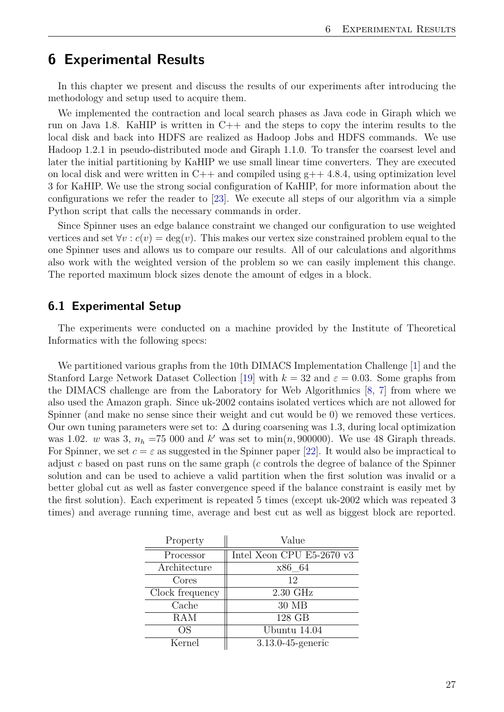## <span id="page-26-0"></span>**6 Experimental Results**

In this chapter we present and discuss the results of our experiments after introducing the methodology and setup used to acquire them.

We implemented the contraction and local search phases as Java code in Giraph which we run on Java 1.8. KaHIP is written in  $C++$  and the steps to copy the interim results to the local disk and back into HDFS are realized as Hadoop Jobs and HDFS commands. We use Hadoop 1.2.1 in pseudo-distributed mode and Giraph 1.1.0. To transfer the coarsest level and later the initial partitioning by KaHIP we use small linear time converters. They are executed on local disk and were written in  $C++$  and compiled using  $g++$  4.8.4, using optimization level 3 for KaHIP. We use the strong social configuration of KaHIP, for more information about the configurations we refer the reader to [\[23\]](#page-32-12). We execute all steps of our algorithm via a simple Python script that calls the necessary commands in order.

Since Spinner uses an edge balance constraint we changed our configuration to use weighted vertices and set  $\forall v : c(v) = \deg(v)$ . This makes our vertex size constrained problem equal to the one Spinner uses and allows us to compare our results. All of our calculations and algorithms also work with the weighted version of the problem so we can easily implement this change. The reported maximum block sizes denote the amount of edges in a block.

#### <span id="page-26-1"></span>**6.1 Experimental Setup**

The experiments were conducted on a machine provided by the Institute of Theoretical Informatics with the following specs:

We partitioned various graphs from the 10th DIMACS Implementation Challenge [\[1\]](#page-31-14) and the Stanford Large Network Dataset Collection [\[19\]](#page-32-15) with  $k = 32$  and  $\varepsilon = 0.03$ . Some graphs from the DIMACS challenge are from the Laboratory for Web Algorithmics [\[8,](#page-31-15) [7\]](#page-31-16) from where we also used the Amazon graph. Since uk-2002 contains isolated vertices which are not allowed for Spinner (and make no sense since their weight and cut would be 0) we removed these vertices. Our own tuning parameters were set to: ∆ during coarsening was 1*.*3, during local optimization was 1.02. *w* was 3,  $n_h = 75000$  and *k*' was set to min $(n, 900000)$ . We use 48 Giraph threads. For Spinner, we set  $c = \varepsilon$  as suggested in the Spinner paper [\[22\]](#page-32-0). It would also be impractical to adjust *c* based on past runs on the same graph (*c* controls the degree of balance of the Spinner solution and can be used to achieve a valid partition when the first solution was invalid or a better global cut as well as faster convergence speed if the balance constraint is easily met by the first solution). Each experiment is repeated 5 times (except uk-2002 which was repeated 3 times) and average running time, average and best cut as well as biggest block are reported.

| Property        | Value                     |
|-----------------|---------------------------|
| Processor       | Intel Xeon CPU E5-2670 v3 |
| Architecture    | x86 64                    |
| Cores           | 12                        |
| Clock frequency | $2.30$ GHz                |
| Cache           | 30 MB                     |
| RAM             | 128 GB                    |
| OS              | Ubuntu 14.04              |
| Kernel          | 3.13.0-45-generic         |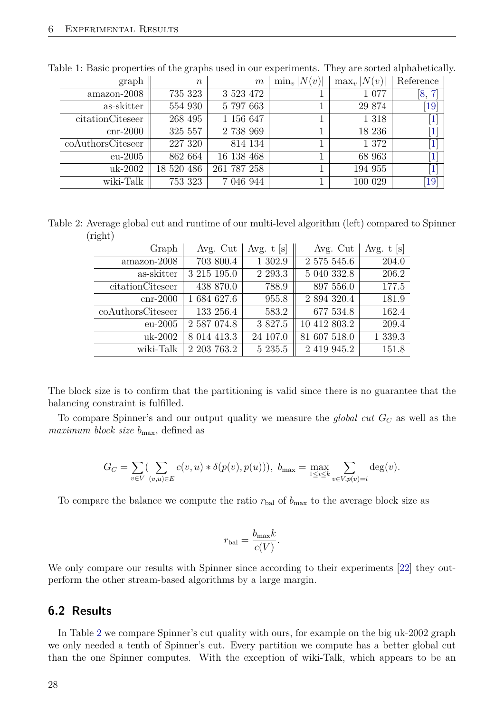| graph             | $\boldsymbol{n}$ | m           | $\min_v  N(v) $ | $\max_v  N(v) $ | Reference                    |
|-------------------|------------------|-------------|-----------------|-----------------|------------------------------|
| amazon-2008       | 735 323          | 3 5 23 4 72 |                 | 1 0 7 7         | $\lceil 7 \rceil$<br>8,      |
| as-skitter        | 554 930          | 5 797 663   |                 | 29 874          | $\lceil 19 \rceil$           |
| citationCiteseer  | 268 495          | 1 156 647   |                 | 1 3 1 8         | [1]                          |
| $cnr-2000$        | 325 557          | 2 738 969   |                 | 18 236          | $\left 1\right $             |
| coAuthorsCiteseer | 227 320          | 814 134     |                 | 1 372           | $\overline{1}$               |
| $eu-2005$         | 862 664          | 16 138 468  |                 | 68 963          | $\left[1\right]$             |
| uk-2002           | 18 520 486       | 261 787 258 |                 | 194 955         | $\left\lceil 1 \right\rceil$ |
| wiki-Talk         | 753 323          | 7 046 944   |                 | 100 029         | $\left[19\right]$            |

Table 1: Basic properties of the graphs used in our experiments. They are sorted alphabetically.

Table 2: Average global cut and runtime of our multi-level algorithm (left) compared to Spinner (right)

<span id="page-27-1"></span>

| Graph             | Avg. Cut    | Avg. $t$ [s] | Avg. Cut     | Avg. $t$ [s] |
|-------------------|-------------|--------------|--------------|--------------|
| amazon-2008       | 703 800.4   | 1 302.9      | 2 575 545.6  | 204.0        |
| as-skitter        | 3 215 195.0 | 2 2 9 3 .3   | 5 040 332.8  | 206.2        |
| citationCiteseer  | 438 870.0   | 788.9        | 897 556.0    | 177.5        |
| $cnr-2000$        | 1 684 627.6 | 955.8        | 2 894 320.4  | 181.9        |
| coAuthorsCiteseer | 133 256.4   | 583.2        | 677 534.8    | 162.4        |
| $eu-2005$         | 2 587 074.8 | 3 827.5      | 10 412 803.2 | 209.4        |
| uk-2002           | 8 014 413.3 | 24 107.0     | 81 607 518.0 | 1 339.3      |
| wiki-Talk         | 2 203 763.2 | 5 235.5      | 2 419 945.2  | 151.8        |

The block size is to confirm that the partitioning is valid since there is no guarantee that the balancing constraint is fulfilled.

To compare Spinner's and our output quality we measure the *global cut G<sup>C</sup>* as well as the *maximum block size*  $b_{\text{max}}$ , defined as

$$
G_C = \sum_{v \in V} (\sum_{(v,u) \in E} c(v,u) * \delta(p(v), p(u))), \ b_{\max} = \max_{1 \le i \le k} \sum_{v \in V, p(v) = i} \deg(v).
$$

To compare the balance we compute the ratio  $r_{\text{bal}}$  of  $b_{\text{max}}$  to the average block size as

$$
r_{\text{bal}} = \frac{b_{\text{max}}k}{c(V)}.
$$

We only compare our results with Spinner since according to their experiments [\[22\]](#page-32-0) they outperform the other stream-based algorithms by a large margin.

#### <span id="page-27-0"></span>**6.2 Results**

In Table [2](#page-27-1) we compare Spinner's cut quality with ours, for example on the big uk-2002 graph we only needed a tenth of Spinner's cut. Every partition we compute has a better global cut than the one Spinner computes. With the exception of wiki-Talk, which appears to be an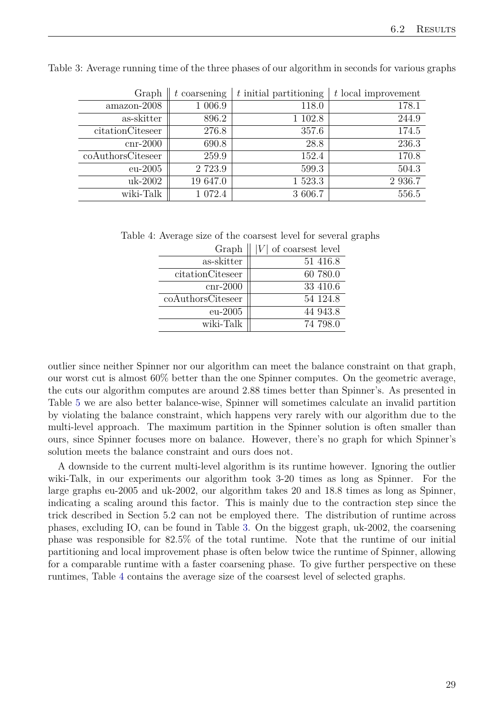<span id="page-28-0"></span>

| Graph             | $t$ coarsening | $t$ initial partitioning | t local improvement |
|-------------------|----------------|--------------------------|---------------------|
| amazon-2008       | 1 006.9        | 118.0                    | 178.1               |
| as-skitter        | 896.2          | 1 102.8                  | 244.9               |
| citationCiteseer  | 276.8          | 357.6                    | 174.5               |
| $cnr-2000$        | 690.8          | 28.8                     | 236.3               |
| coAuthorsCiteseer | 259.9          | 152.4                    | 170.8               |
| $eu-2005$         | 2 723.9        | 599.3                    | 504.3               |
| uk-2002           | 19 647.0       | 1 523.3                  | 2 936.7             |
| wiki-Talk         | 1 072.4        | 3 606.7                  | 556.5               |

Table 3: Average running time of the three phases of our algorithm in seconds for various graphs

Table 4: Average size of the coarsest level for several graphs

<span id="page-28-1"></span>

| $ V $ of coarsest level |
|-------------------------|
| 51 416.8                |
| 60 780.0                |
| 33 410.6                |
| 54 124.8                |
| 44 943.8                |
| 74 798.0                |
|                         |

outlier since neither Spinner nor our algorithm can meet the balance constraint on that graph, our worst cut is almost 60% better than the one Spinner computes. On the geometric average, the cuts our algorithm computes are around 2.88 times better than Spinner's. As presented in Table [5](#page-29-0) we are also better balance-wise, Spinner will sometimes calculate an invalid partition by violating the balance constraint, which happens very rarely with our algorithm due to the multi-level approach. The maximum partition in the Spinner solution is often smaller than ours, since Spinner focuses more on balance. However, there's no graph for which Spinner's solution meets the balance constraint and ours does not.

A downside to the current multi-level algorithm is its runtime however. Ignoring the outlier wiki-Talk, in our experiments our algorithm took 3-20 times as long as Spinner. For the large graphs eu-2005 and uk-2002, our algorithm takes 20 and 18.8 times as long as Spinner, indicating a scaling around this factor. This is mainly due to the contraction step since the trick described in Section 5.2 can not be employed there. The distribution of runtime across phases, excluding IO, can be found in Table [3.](#page-28-0) On the biggest graph, uk-2002, the coarsening phase was responsible for 82*.*5% of the total runtime. Note that the runtime of our initial partitioning and local improvement phase is often below twice the runtime of Spinner, allowing for a comparable runtime with a faster coarsening phase. To give further perspective on these runtimes, Table [4](#page-28-1) contains the average size of the coarsest level of selected graphs.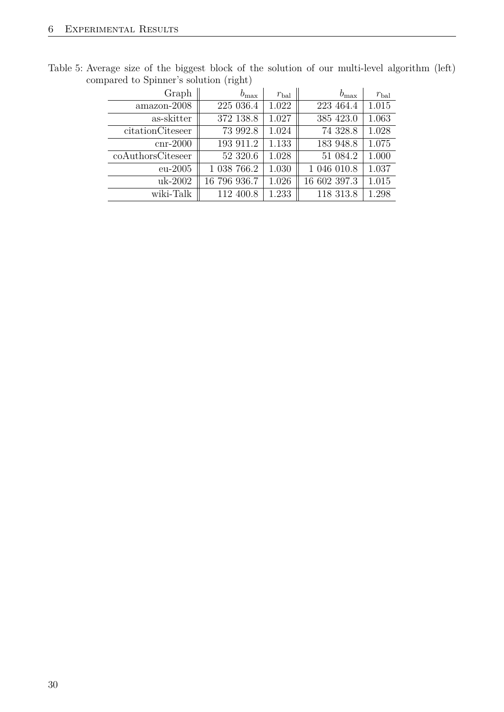<span id="page-29-0"></span>

| Graph             | $b_{\rm max}$ | $r_{\rm bal}$ | $b_{\rm max}$ | $r_{\rm bal}$ |
|-------------------|---------------|---------------|---------------|---------------|
| amazon-2008       | 225 036.4     | 1.022         | 223 464.4     | 1.015         |
| as-skitter        | 372 138.8     | 1.027         | 385 423.0     | 1.063         |
| citationCiteseer  | 73 992.8      | 1.024         | 74 328.8      | 1.028         |
| $cnr-2000$        | 193 911.2     | 1.133         | 183 948.8     | 1.075         |
| coAuthorsCiteseer | 52 320.6      | 1.028         | 51 084.2      | 1.000         |
| $eu-2005$         | 1 038 766.2   | 1.030         | 1 046 010.8   | 1.037         |
| uk-2002           | 16 796 936.7  | 1.026         | 16 602 397.3  | 1.015         |
| wiki-Talk         | 112 400.8     | 1.233         | 118 313.8     | 1.298         |

Table 5: Average size of the biggest block of the solution of our multi-level algorithm (left) compared to Spinner's solution (right)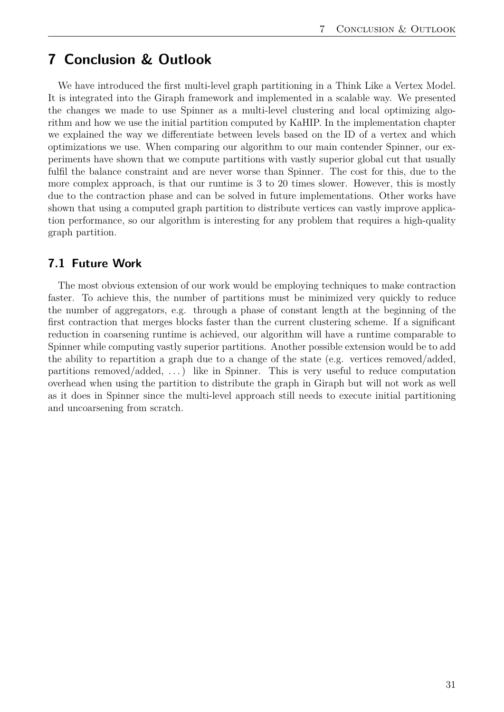## <span id="page-30-0"></span>**7 Conclusion & Outlook**

We have introduced the first multi-level graph partitioning in a Think Like a Vertex Model. It is integrated into the Giraph framework and implemented in a scalable way. We presented the changes we made to use Spinner as a multi-level clustering and local optimizing algorithm and how we use the initial partition computed by KaHIP. In the implementation chapter we explained the way we differentiate between levels based on the ID of a vertex and which optimizations we use. When comparing our algorithm to our main contender Spinner, our experiments have shown that we compute partitions with vastly superior global cut that usually fulfil the balance constraint and are never worse than Spinner. The cost for this, due to the more complex approach, is that our runtime is 3 to 20 times slower. However, this is mostly due to the contraction phase and can be solved in future implementations. Other works have shown that using a computed graph partition to distribute vertices can vastly improve application performance, so our algorithm is interesting for any problem that requires a high-quality graph partition.

#### <span id="page-30-1"></span>**7.1 Future Work**

The most obvious extension of our work would be employing techniques to make contraction faster. To achieve this, the number of partitions must be minimized very quickly to reduce the number of aggregators, e.g. through a phase of constant length at the beginning of the first contraction that merges blocks faster than the current clustering scheme. If a significant reduction in coarsening runtime is achieved, our algorithm will have a runtime comparable to Spinner while computing vastly superior partitions. Another possible extension would be to add the ability to repartition a graph due to a change of the state (e.g. vertices removed/added, partitions removed/added,  $\ldots$ ) like in Spinner. This is very useful to reduce computation overhead when using the partition to distribute the graph in Giraph but will not work as well as it does in Spinner since the multi-level approach still needs to execute initial partitioning and uncoarsening from scratch.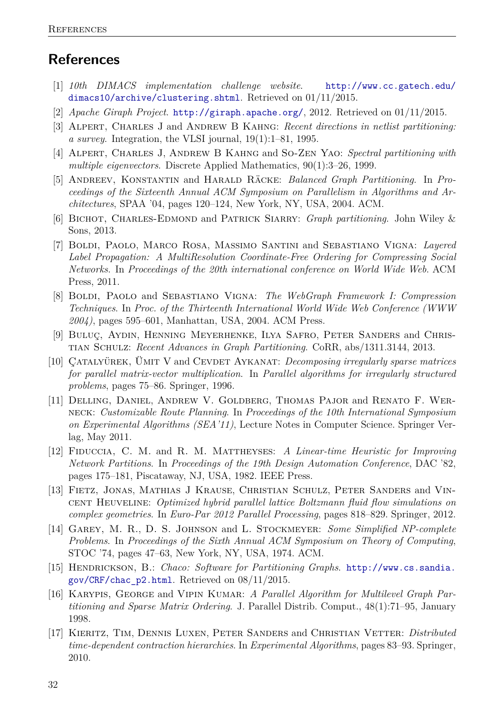## **References**

- <span id="page-31-14"></span>[1] *10th DIMACS implementation challenge website*. [http://www.cc.gatech.edu/](http://www.cc.gatech.edu/dimacs10/archive/clustering.shtml) [dimacs10/archive/clustering.shtml](http://www.cc.gatech.edu/dimacs10/archive/clustering.shtml). Retrieved on 01/11/2015.
- <span id="page-31-8"></span>[2] *Apache Giraph Project*. <http://giraph.apache.org/>, 2012. Retrieved on 01/11/2015.
- <span id="page-31-0"></span>[3] Alpert, Charles J and Andrew B Kahng: *Recent directions in netlist partitioning: a survey*. Integration, the VLSI journal, 19(1):1–81, 1995.
- <span id="page-31-1"></span>[4] Alpert, Charles J, Andrew B Kahng and So-Zen Yao: *Spectral partitioning with multiple eigenvectors*. Discrete Applied Mathematics, 90(1):3–26, 1999.
- <span id="page-31-10"></span>[5] Andreev, Konstantin and Harald Räcke: *Balanced Graph Partitioning*. In *Proceedings of the Sixteenth Annual ACM Symposium on Parallelism in Algorithms and Architectures*, SPAA '04, pages 120–124, New York, NY, USA, 2004. ACM.
- <span id="page-31-11"></span>[6] Bichot, Charles-Edmond and Patrick Siarry: *Graph partitioning*. John Wiley & Sons, 2013.
- <span id="page-31-16"></span>[7] Boldi, Paolo, Marco Rosa, Massimo Santini and Sebastiano Vigna: *Layered Label Propagation: A MultiResolution Coordinate-Free Ordering for Compressing Social Networks*. In *Proceedings of the 20th international conference on World Wide Web*. ACM Press, 2011.
- <span id="page-31-15"></span>[8] Boldi, Paolo and Sebastiano Vigna: *The WebGraph Framework I: Compression Techniques*. In *Proc. of the Thirteenth International World Wide Web Conference (WWW 2004)*, pages 595–601, Manhattan, USA, 2004. ACM Press.
- <span id="page-31-7"></span>[9] Buluç, Aydin, Henning Meyerhenke, Ilya Safro, Peter Sanders and Christian Schulz: *Recent Advances in Graph Partitioning*. CoRR, abs/1311.3144, 2013.
- <span id="page-31-4"></span>[10] CATALYÜREK, ÜMIT V and CEVDET AYKANAT: *Decomposing irregularly sparse matrices for parallel matrix-vector multiplication*. In *Parallel algorithms for irregularly structured problems*, pages 75–86. Springer, 1996.
- <span id="page-31-3"></span>[11] Delling, Daniel, Andrew V. Goldberg, Thomas Pajor and Renato F. Werneck: *Customizable Route Planning*. In *Proceedings of the 10th International Symposium on Experimental Algorithms (SEA'11)*, Lecture Notes in Computer Science. Springer Verlag, May 2011.
- <span id="page-31-12"></span>[12] Fiduccia, C. M. and R. M. Mattheyses: *A Linear-time Heuristic for Improving Network Partitions*. In *Proceedings of the 19th Design Automation Conference*, DAC '82, pages 175–181, Piscataway, NJ, USA, 1982. IEEE Press.
- <span id="page-31-5"></span>[13] FIETZ, JONAS, MATHIAS J KRAUSE, CHRISTIAN SCHULZ, PETER SANDERS and VINcent Heuveline: *Optimized hybrid parallel lattice Boltzmann fluid flow simulations on complex geometries*. In *Euro-Par 2012 Parallel Processing*, pages 818–829. Springer, 2012.
- <span id="page-31-9"></span>[14] Garey, M. R., D. S. Johnson and L. Stockmeyer: *Some Simplified NP-complete Problems*. In *Proceedings of the Sixth Annual ACM Symposium on Theory of Computing*, STOC '74, pages 47–63, New York, NY, USA, 1974. ACM.
- <span id="page-31-13"></span>[15] Hendrickson, B.: *Chaco: Software for Partitioning Graphs*. [http://www.cs.sandia.](http://www.cs.sandia.gov/CRF/chac_p2.html) [gov/CRF/chac\\_p2.html](http://www.cs.sandia.gov/CRF/chac_p2.html). Retrieved on 08/11/2015.
- <span id="page-31-6"></span>[16] Karypis, George and Vipin Kumar: *A Parallel Algorithm for Multilevel Graph Partitioning and Sparse Matrix Ordering*. J. Parallel Distrib. Comput., 48(1):71–95, January 1998.
- <span id="page-31-2"></span>[17] Kieritz, Tim, Dennis Luxen, Peter Sanders and Christian Vetter: *Distributed time-dependent contraction hierarchies*. In *Experimental Algorithms*, pages 83–93. Springer, 2010.